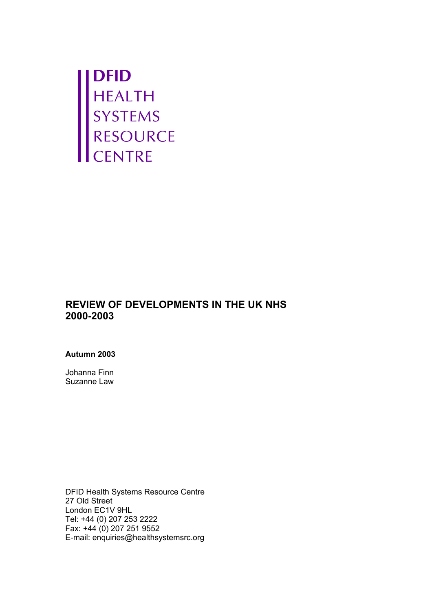**DFID<br>HEALTH<br>SYSTEMS<br>RESOURCE<br>CENTRE** 

# **REVIEW OF DEVELOPMENTS IN THE UK NHS 2000-2003**

#### **Autumn 2003**

Johanna Finn Suzanne Law

DFID Health Systems Resource Centre 27 Old Street London EC1V 9HL Tel: +44 (0) 207 253 2222 Fax: +44 (0) 207 251 9552 E-mail: enquiries@healthsystemsrc.org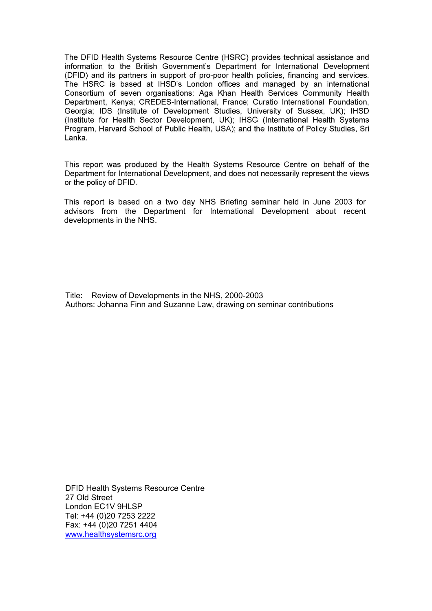The DFID Health Systems Resource Centre (HSRC) provides technical assistance and information to the British Government's Department for International Development (DFID) and its partners in support of pro-poor health policies, financing and services. The HSRC is based at IHSD's London offices and managed by an international Consortium of seven organisations: Aga Khan Health Services Community Health Department, Kenva: CREDES-International, France: Curatio International Foundation. Georgia; IDS (Institute of Development Studies, University of Sussex, UK); IHSD (Institute for Health Sector Development, UK); IHSG (International Health Systems Program, Harvard School of Public Health, USA); and the Institute of Policy Studies, Sri Lanka.

This report was produced by the Health Systems Resource Centre on behalf of the Department for International Development, and does not necessarily represent the views or the policy of DFID.

This report is based on a two day NHS Briefing seminar held in June 2003 for advisors from the Department for International Development about recent developments in the NHS.

Title: Review of Developments in the NHS, 2000-2003 Authors: Johanna Finn and Suzanne Law, drawing on seminar contributions

DFID Health Systems Resource Centre 27 Old Street London EC1V 9HLSP Tel: +44 (0)20 7253 2222 Fax: +44 (0)20 7251 4404 www.healthsystemsrc.org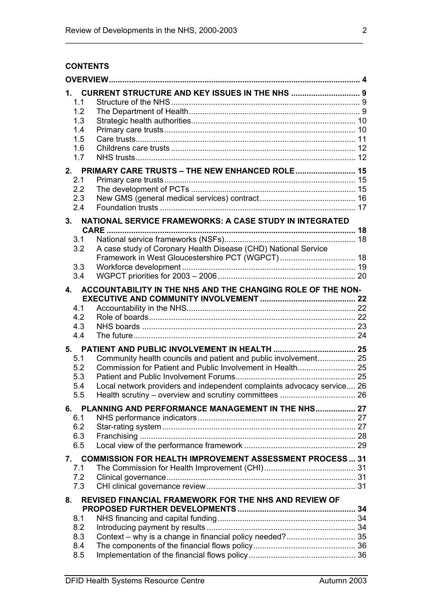# **CONTENTS**

| 1.1<br>1.2<br>1.3<br>1.4<br>1.5<br>1.6<br>1.7                  | <b>CURRENT STRUCTURE AND KEY ISSUES IN THE NHS  9</b>                  |  |  |
|----------------------------------------------------------------|------------------------------------------------------------------------|--|--|
|                                                                | 2. PRIMARY CARE TRUSTS - THE NEW ENHANCED ROLE 15                      |  |  |
| 2.1                                                            |                                                                        |  |  |
| 2.2                                                            |                                                                        |  |  |
| 2.3<br>2.4                                                     |                                                                        |  |  |
|                                                                |                                                                        |  |  |
| NATIONAL SERVICE FRAMEWORKS: A CASE STUDY IN INTEGRATED<br>3.  |                                                                        |  |  |
|                                                                |                                                                        |  |  |
| 3.1<br>3.2                                                     | A case study of Coronary Health Disease (CHD) National Service         |  |  |
|                                                                |                                                                        |  |  |
| 3.3                                                            |                                                                        |  |  |
| 3.4                                                            |                                                                        |  |  |
| $\mathbf{A}$                                                   | ACCOUNTABILITY IN THE NHS AND THE CHANGING ROLE OF THE NON-            |  |  |
|                                                                |                                                                        |  |  |
| 4.1                                                            |                                                                        |  |  |
| 4.2                                                            |                                                                        |  |  |
| 4.3                                                            |                                                                        |  |  |
| 4.4                                                            |                                                                        |  |  |
|                                                                |                                                                        |  |  |
| 5.1                                                            | Community health councils and patient and public involvement 25        |  |  |
| 5.2                                                            |                                                                        |  |  |
| 5.3                                                            |                                                                        |  |  |
| 5.4                                                            | Local network providers and independent complaints advocacy service 26 |  |  |
| 5.5                                                            |                                                                        |  |  |
| <b>PLANNING AND PERFORMANCE MANAGEMENT IN THE NHS 27</b><br>6. |                                                                        |  |  |
| 6.1                                                            |                                                                        |  |  |
| 6.2                                                            |                                                                        |  |  |
| 6.3                                                            |                                                                        |  |  |
| 6.5                                                            |                                                                        |  |  |
| 7.                                                             | <b>COMMISSION FOR HEALTH IMPROVEMENT ASSESSMENT PROCESS 31</b>         |  |  |
| 7.1                                                            |                                                                        |  |  |
| 7.2<br>7.3                                                     |                                                                        |  |  |
|                                                                |                                                                        |  |  |
| REVISED FINANCIAL FRAMEWORK FOR THE NHS AND REVIEW OF<br>8.    |                                                                        |  |  |
| 8.1                                                            |                                                                        |  |  |
| 8.2                                                            |                                                                        |  |  |
| 8.3                                                            |                                                                        |  |  |
| 8.4                                                            |                                                                        |  |  |
| 8.5                                                            |                                                                        |  |  |

\_\_\_\_\_\_\_\_\_\_\_\_\_\_\_\_\_\_\_\_\_\_\_\_\_\_\_\_\_\_\_\_\_\_\_\_\_\_\_\_\_\_\_\_\_\_\_\_\_\_\_\_\_\_\_\_\_\_\_\_\_\_\_\_\_\_\_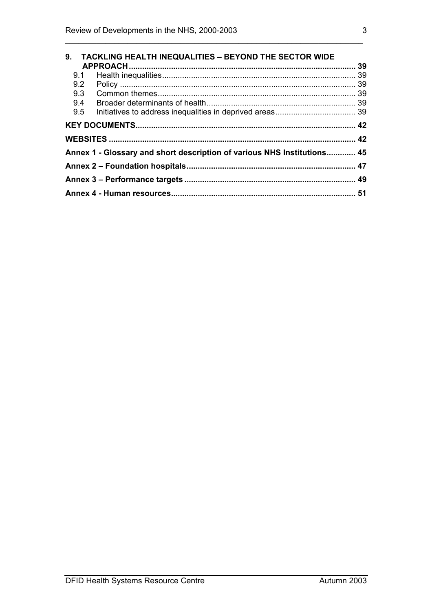|                                                                         | 9. TACKLING HEALTH INEQUALITIES - BEYOND THE SECTOR WIDE |  |
|-------------------------------------------------------------------------|----------------------------------------------------------|--|
| 9.1                                                                     |                                                          |  |
|                                                                         |                                                          |  |
|                                                                         |                                                          |  |
| 9.4                                                                     |                                                          |  |
| 9.5                                                                     |                                                          |  |
|                                                                         |                                                          |  |
|                                                                         |                                                          |  |
| Annex 1 - Glossary and short description of various NHS Institutions 45 |                                                          |  |
|                                                                         |                                                          |  |
|                                                                         |                                                          |  |
|                                                                         |                                                          |  |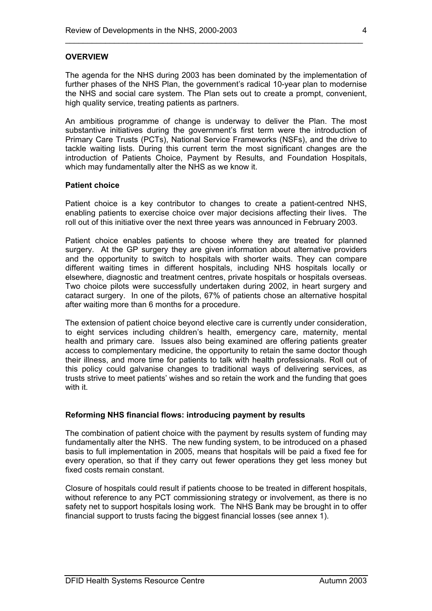#### **OVERVIEW**

The agenda for the NHS during 2003 has been dominated by the implementation of further phases of the NHS Plan, the government's radical 10-year plan to modernise the NHS and social care system. The Plan sets out to create a prompt, convenient, high quality service, treating patients as partners.

\_\_\_\_\_\_\_\_\_\_\_\_\_\_\_\_\_\_\_\_\_\_\_\_\_\_\_\_\_\_\_\_\_\_\_\_\_\_\_\_\_\_\_\_\_\_\_\_\_\_\_\_\_\_\_\_\_\_\_\_\_\_\_\_\_\_\_

An ambitious programme of change is underway to deliver the Plan. The most substantive initiatives during the government's first term were the introduction of Primary Care Trusts (PCTs), National Service Frameworks (NSFs), and the drive to tackle waiting lists. During this current term the most significant changes are the introduction of Patients Choice, Payment by Results, and Foundation Hospitals, which may fundamentally alter the NHS as we know it.

#### **Patient choice**

Patient choice is a key contributor to changes to create a patient-centred NHS, enabling patients to exercise choice over major decisions affecting their lives. The roll out of this initiative over the next three years was announced in February 2003.

Patient choice enables patients to choose where they are treated for planned surgery. At the GP surgery they are given information about alternative providers and the opportunity to switch to hospitals with shorter waits. They can compare different waiting times in different hospitals, including NHS hospitals locally or elsewhere, diagnostic and treatment centres, private hospitals or hospitals overseas. Two choice pilots were successfully undertaken during 2002, in heart surgery and cataract surgery. In one of the pilots, 67% of patients chose an alternative hospital after waiting more than 6 months for a procedure.

The extension of patient choice beyond elective care is currently under consideration, to eight services including children's health, emergency care, maternity, mental health and primary care. Issues also being examined are offering patients greater access to complementary medicine, the opportunity to retain the same doctor though their illness, and more time for patients to talk with health professionals. Roll out of this policy could galvanise changes to traditional ways of delivering services, as trusts strive to meet patients' wishes and so retain the work and the funding that goes with it.

#### **Reforming NHS financial flows: introducing payment by results**

The combination of patient choice with the payment by results system of funding may fundamentally alter the NHS. The new funding system, to be introduced on a phased basis to full implementation in 2005, means that hospitals will be paid a fixed fee for every operation, so that if they carry out fewer operations they get less money but fixed costs remain constant.

Closure of hospitals could result if patients choose to be treated in different hospitals, without reference to any PCT commissioning strategy or involvement, as there is no safety net to support hospitals losing work. The NHS Bank may be brought in to offer financial support to trusts facing the biggest financial losses (see annex 1).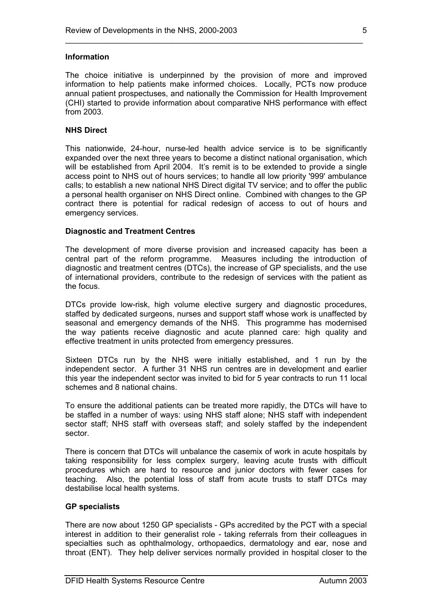#### **Information**

The choice initiative is underpinned by the provision of more and improved information to help patients make informed choices. Locally, PCTs now produce annual patient prospectuses, and nationally the Commission for Health Improvement (CHI) started to provide information about comparative NHS performance with effect from 2003.

\_\_\_\_\_\_\_\_\_\_\_\_\_\_\_\_\_\_\_\_\_\_\_\_\_\_\_\_\_\_\_\_\_\_\_\_\_\_\_\_\_\_\_\_\_\_\_\_\_\_\_\_\_\_\_\_\_\_\_\_\_\_\_\_\_\_\_

#### **NHS Direct**

This nationwide, 24-hour, nurse-led health advice service is to be significantly expanded over the next three years to become a distinct national organisation, which will be established from April 2004. It's remit is to be extended to provide a single access point to NHS out of hours services; to handle all low priority '999' ambulance calls; to establish a new national NHS Direct digital TV service; and to offer the public a personal health organiser on NHS Direct online. Combined with changes to the GP contract there is potential for radical redesign of access to out of hours and emergency services.

#### **Diagnostic and Treatment Centres**

The development of more diverse provision and increased capacity has been a central part of the reform programme. Measures including the introduction of diagnostic and treatment centres (DTCs), the increase of GP specialists, and the use of international providers, contribute to the redesign of services with the patient as the focus.

DTCs provide low-risk, high volume elective surgery and diagnostic procedures, staffed by dedicated surgeons, nurses and support staff whose work is unaffected by seasonal and emergency demands of the NHS. This programme has modernised the way patients receive diagnostic and acute planned care: high quality and effective treatment in units protected from emergency pressures.

Sixteen DTCs run by the NHS were initially established, and 1 run by the independent sector. A further 31 NHS run centres are in development and earlier this year the independent sector was invited to bid for 5 year contracts to run 11 local schemes and 8 national chains.

To ensure the additional patients can be treated more rapidly, the DTCs will have to be staffed in a number of ways: using NHS staff alone; NHS staff with independent sector staff; NHS staff with overseas staff; and solely staffed by the independent sector.

There is concern that DTCs will unbalance the casemix of work in acute hospitals by taking responsibility for less complex surgery, leaving acute trusts with difficult procedures which are hard to resource and junior doctors with fewer cases for teaching. Also, the potential loss of staff from acute trusts to staff DTCs may destabilise local health systems.

#### **GP specialists**

There are now about 1250 GP specialists - GPs accredited by the PCT with a special interest in addition to their generalist role - taking referrals from their colleagues in specialties such as ophthalmology, orthopaedics, dermatology and ear, nose and throat (ENT). They help deliver services normally provided in hospital closer to the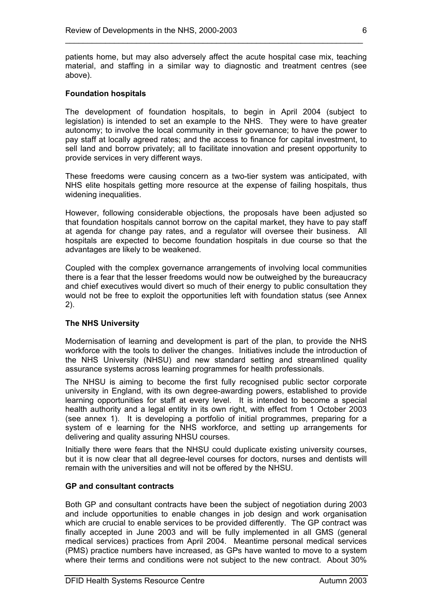patients home, but may also adversely affect the acute hospital case mix, teaching material, and staffing in a similar way to diagnostic and treatment centres (see above).

\_\_\_\_\_\_\_\_\_\_\_\_\_\_\_\_\_\_\_\_\_\_\_\_\_\_\_\_\_\_\_\_\_\_\_\_\_\_\_\_\_\_\_\_\_\_\_\_\_\_\_\_\_\_\_\_\_\_\_\_\_\_\_\_\_\_\_

#### **Foundation hospitals**

The development of foundation hospitals, to begin in April 2004 (subject to legislation) is intended to set an example to the NHS. They were to have greater autonomy; to involve the local community in their governance; to have the power to pay staff at locally agreed rates; and the access to finance for capital investment, to sell land and borrow privately; all to facilitate innovation and present opportunity to provide services in very different ways.

These freedoms were causing concern as a two-tier system was anticipated, with NHS elite hospitals getting more resource at the expense of failing hospitals, thus widening inequalities.

However, following considerable objections, the proposals have been adjusted so that foundation hospitals cannot borrow on the capital market, they have to pay staff at agenda for change pay rates, and a regulator will oversee their business. All hospitals are expected to become foundation hospitals in due course so that the advantages are likely to be weakened.

Coupled with the complex governance arrangements of involving local communities there is a fear that the lesser freedoms would now be outweighed by the bureaucracy and chief executives would divert so much of their energy to public consultation they would not be free to exploit the opportunities left with foundation status (see Annex 2).

#### **The NHS University**

Modernisation of learning and development is part of the plan, to provide the NHS workforce with the tools to deliver the changes. Initiatives include the introduction of the NHS University (NHSU) and new standard setting and streamlined quality assurance systems across learning programmes for health professionals.

The NHSU is aiming to become the first fully recognised public sector corporate university in England, with its own degree-awarding powers, established to provide learning opportunities for staff at every level. It is intended to become a special health authority and a legal entity in its own right, with effect from 1 October 2003 (see annex 1). It is developing a portfolio of initial programmes, preparing for a system of e learning for the NHS workforce, and setting up arrangements for delivering and quality assuring NHSU courses.

Initially there were fears that the NHSU could duplicate existing university courses, but it is now clear that all degree-level courses for doctors, nurses and dentists will remain with the universities and will not be offered by the NHSU.

#### **GP and consultant contracts**

Both GP and consultant contracts have been the subject of negotiation during 2003 and include opportunities to enable changes in job design and work organisation which are crucial to enable services to be provided differently. The GP contract was finally accepted in June 2003 and will be fully implemented in all GMS (general medical services) practices from April 2004. Meantime personal medical services (PMS) practice numbers have increased, as GPs have wanted to move to a system where their terms and conditions were not subject to the new contract. About 30%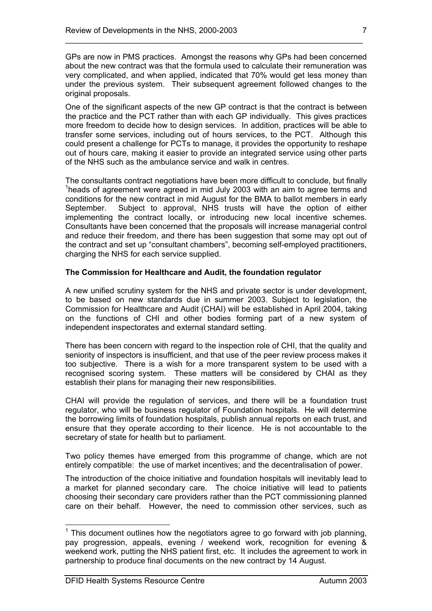GPs are now in PMS practices. Amongst the reasons why GPs had been concerned about the new contract was that the formula used to calculate their remuneration was very complicated, and when applied, indicated that 70% would get less money than under the previous system. Their subsequent agreement followed changes to the original proposals.

\_\_\_\_\_\_\_\_\_\_\_\_\_\_\_\_\_\_\_\_\_\_\_\_\_\_\_\_\_\_\_\_\_\_\_\_\_\_\_\_\_\_\_\_\_\_\_\_\_\_\_\_\_\_\_\_\_\_\_\_\_\_\_\_\_\_\_

One of the significant aspects of the new GP contract is that the contract is between the practice and the PCT rather than with each GP individually. This gives practices more freedom to decide how to design services. In addition, practices will be able to transfer some services, including out of hours services, to the PCT. Although this could present a challenge for PCTs to manage, it provides the opportunity to reshape out of hours care, making it easier to provide an integrated service using other parts of the NHS such as the ambulance service and walk in centres.

The consultants contract negotiations have been more difficult to conclude, but finally <sup>1</sup>heads of agreement were agreed in mid July 2003 with an aim to agree terms and conditions for the new contract in mid August for the BMA to ballot members in early September. Subject to approval, NHS trusts will have the option of either implementing the contract locally, or introducing new local incentive schemes. Consultants have been concerned that the proposals will increase managerial control and reduce their freedom, and there has been suggestion that some may opt out of the contract and set up "consultant chambers", becoming self-employed practitioners, charging the NHS for each service supplied.

### **The Commission for Healthcare and Audit, the foundation regulator**

A new unified scrutiny system for the NHS and private sector is under development, to be based on new standards due in summer 2003. Subject to legislation, the Commission for Healthcare and Audit (CHAI) will be established in April 2004, taking on the functions of CHI and other bodies forming part of a new system of independent inspectorates and external standard setting.

There has been concern with regard to the inspection role of CHI, that the quality and seniority of inspectors is insufficient, and that use of the peer review process makes it too subjective. There is a wish for a more transparent system to be used with a recognised scoring system. These matters will be considered by CHAI as they establish their plans for managing their new responsibilities.

CHAI will provide the regulation of services, and there will be a foundation trust regulator, who will be business regulator of Foundation hospitals. He will determine the borrowing limits of foundation hospitals, publish annual reports on each trust, and ensure that they operate according to their licence. He is not accountable to the secretary of state for health but to parliament.

Two policy themes have emerged from this programme of change, which are not entirely compatible: the use of market incentives; and the decentralisation of power.

The introduction of the choice initiative and foundation hospitals will inevitably lead to a market for planned secondary care. The choice initiative will lead to patients choosing their secondary care providers rather than the PCT commissioning planned care on their behalf. However, the need to commission other services, such as

 $1$  This document outlines how the negotiators agree to go forward with job planning, pay progression, appeals, evening / weekend work, recognition for evening & weekend work, putting the NHS patient first, etc. It includes the agreement to work in partnership to produce final documents on the new contract by 14 August.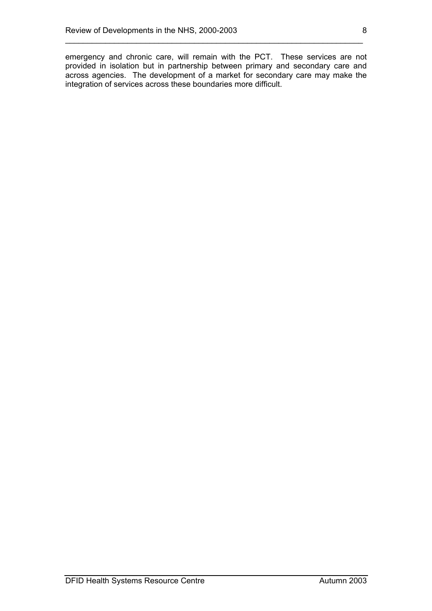emergency and chronic care, will remain with the PCT. These services are not provided in isolation but in partnership between primary and secondary care and across agencies. The development of a market for secondary care may make the integration of services across these boundaries more difficult.

\_\_\_\_\_\_\_\_\_\_\_\_\_\_\_\_\_\_\_\_\_\_\_\_\_\_\_\_\_\_\_\_\_\_\_\_\_\_\_\_\_\_\_\_\_\_\_\_\_\_\_\_\_\_\_\_\_\_\_\_\_\_\_\_\_\_\_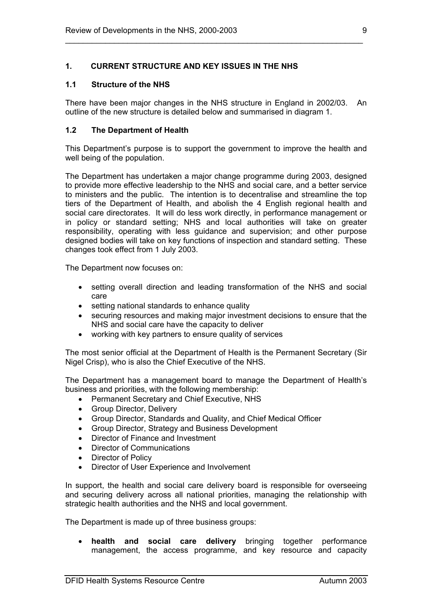### **1. CURRENT STRUCTURE AND KEY ISSUES IN THE NHS**

#### **1.1 Structure of the NHS**

There have been major changes in the NHS structure in England in 2002/03. An outline of the new structure is detailed below and summarised in diagram 1.

\_\_\_\_\_\_\_\_\_\_\_\_\_\_\_\_\_\_\_\_\_\_\_\_\_\_\_\_\_\_\_\_\_\_\_\_\_\_\_\_\_\_\_\_\_\_\_\_\_\_\_\_\_\_\_\_\_\_\_\_\_\_\_\_\_\_\_

#### **1.2 The Department of Health**

This Department's purpose is to support the government to improve the health and well being of the population.

The Department has undertaken a major change programme during 2003, designed to provide more effective leadership to the NHS and social care, and a better service to ministers and the public. The intention is to decentralise and streamline the top tiers of the Department of Health, and abolish the 4 English regional health and social care directorates. It will do less work directly, in performance management or in policy or standard setting; NHS and local authorities will take on greater responsibility, operating with less guidance and supervision; and other purpose designed bodies will take on key functions of inspection and standard setting. These changes took effect from 1 July 2003.

The Department now focuses on:

- setting overall direction and leading transformation of the NHS and social care
- setting national standards to enhance quality
- securing resources and making major investment decisions to ensure that the NHS and social care have the capacity to deliver
- working with key partners to ensure quality of services

The most senior official at the Department of Health is the Permanent Secretary (Sir Nigel Crisp), who is also the Chief Executive of the NHS.

The Department has a management board to manage the Department of Health's business and priorities, with the following membership:

- Permanent Secretary and Chief Executive, NHS
- Group Director, Delivery
- Group Director, Standards and Quality, and Chief Medical Officer
- Group Director, Strategy and Business Development
- Director of Finance and Investment
- Director of Communications
- Director of Policy
- Director of User Experience and Involvement

In support, the health and social care delivery board is responsible for overseeing and securing delivery across all national priorities, managing the relationship with strategic health authorities and the NHS and local government.

The Department is made up of three business groups:

• **health and social care delivery** bringing together performance management, the access programme, and key resource and capacity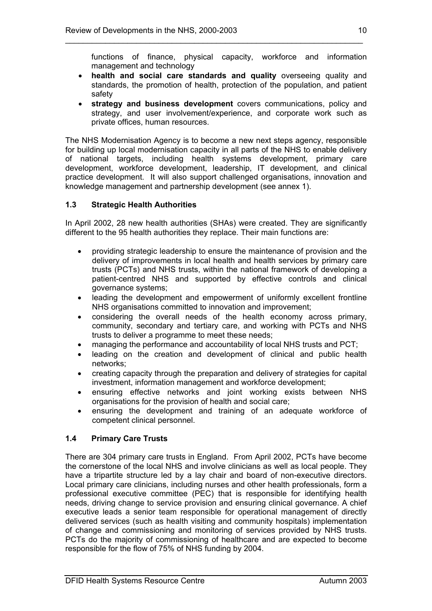functions of finance, physical capacity, workforce and information management and technology

• **health and social care standards and quality** overseeing quality and standards, the promotion of health, protection of the population, and patient safety

\_\_\_\_\_\_\_\_\_\_\_\_\_\_\_\_\_\_\_\_\_\_\_\_\_\_\_\_\_\_\_\_\_\_\_\_\_\_\_\_\_\_\_\_\_\_\_\_\_\_\_\_\_\_\_\_\_\_\_\_\_\_\_\_\_\_\_

• **strategy and business development** covers communications, policy and strategy, and user involvement/experience, and corporate work such as private offices, human resources.

The NHS Modernisation Agency is to become a new next steps agency, responsible for building up local modernisation capacity in all parts of the NHS to enable delivery of national targets, including health systems development, primary care development, workforce development, leadership, IT development, and clinical practice development. It will also support challenged organisations, innovation and knowledge management and partnership development (see annex 1).

# **1.3 Strategic Health Authorities**

In April 2002, 28 new health authorities (SHAs) were created. They are significantly different to the 95 health authorities they replace. Their main functions are:

- providing strategic leadership to ensure the maintenance of provision and the delivery of improvements in local health and health services by primary care trusts (PCTs) and NHS trusts, within the national framework of developing a patient-centred NHS and supported by effective controls and clinical governance systems;
- leading the development and empowerment of uniformly excellent frontline NHS organisations committed to innovation and improvement;
- considering the overall needs of the health economy across primary, community, secondary and tertiary care, and working with PCTs and NHS trusts to deliver a programme to meet these needs;
- managing the performance and accountability of local NHS trusts and PCT;
- leading on the creation and development of clinical and public health networks;
- creating capacity through the preparation and delivery of strategies for capital investment, information management and workforce development;
- ensuring effective networks and joint working exists between NHS organisations for the provision of health and social care;
- ensuring the development and training of an adequate workforce of competent clinical personnel.

# **1.4 Primary Care Trusts**

There are 304 primary care trusts in England. From April 2002, PCTs have become the cornerstone of the local NHS and involve clinicians as well as local people. They have a tripartite structure led by a lay chair and board of non-executive directors. Local primary care clinicians, including nurses and other health professionals, form a professional executive committee (PEC) that is responsible for identifying health needs, driving change to service provision and ensuring clinical governance. A chief executive leads a senior team responsible for operational management of directly delivered services (such as health visiting and community hospitals) implementation of change and commissioning and monitoring of services provided by NHS trusts. PCTs do the majority of commissioning of healthcare and are expected to become responsible for the flow of 75% of NHS funding by 2004.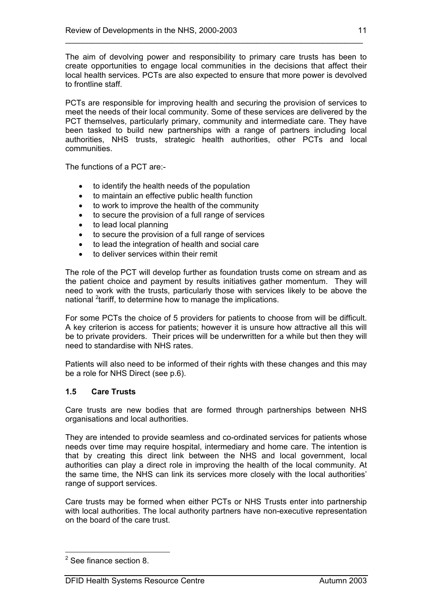The aim of devolving power and responsibility to primary care trusts has been to create opportunities to engage local communities in the decisions that affect their local health services. PCTs are also expected to ensure that more power is devolved to frontline staff.

\_\_\_\_\_\_\_\_\_\_\_\_\_\_\_\_\_\_\_\_\_\_\_\_\_\_\_\_\_\_\_\_\_\_\_\_\_\_\_\_\_\_\_\_\_\_\_\_\_\_\_\_\_\_\_\_\_\_\_\_\_\_\_\_\_\_\_

PCTs are responsible for improving health and securing the provision of services to meet the needs of their local community. Some of these services are delivered by the PCT themselves, particularly primary, community and intermediate care. They have been tasked to build new partnerships with a range of partners including local authorities, NHS trusts, strategic health authorities, other PCTs and local communities.

The functions of a PCT are:-

- to identify the health needs of the population
- to maintain an effective public health function
- to work to improve the health of the community
- to secure the provision of a full range of services
- to lead local planning
- to secure the provision of a full range of services
- to lead the integration of health and social care
- to deliver services within their remit

The role of the PCT will develop further as foundation trusts come on stream and as the patient choice and payment by results initiatives gather momentum. They will need to work with the trusts, particularly those with services likely to be above the national <sup>2</sup>tariff, to determine how to manage the implications.

For some PCTs the choice of 5 providers for patients to choose from will be difficult. A key criterion is access for patients; however it is unsure how attractive all this will be to private providers. Their prices will be underwritten for a while but then they will need to standardise with NHS rates.

Patients will also need to be informed of their rights with these changes and this may be a role for NHS Direct (see p.6).

#### **1.5 Care Trusts**

Care trusts are new bodies that are formed through partnerships between NHS organisations and local authorities.

They are intended to provide seamless and co-ordinated services for patients whose needs over time may require hospital, intermediary and home care. The intention is that by creating this direct link between the NHS and local government, local authorities can play a direct role in improving the health of the local community. At the same time, the NHS can link its services more closely with the local authorities' range of support services.

Care trusts may be formed when either PCTs or NHS Trusts enter into partnership with local authorities. The local authority partners have non-executive representation on the board of the care trust.

 $2$  See finance section 8.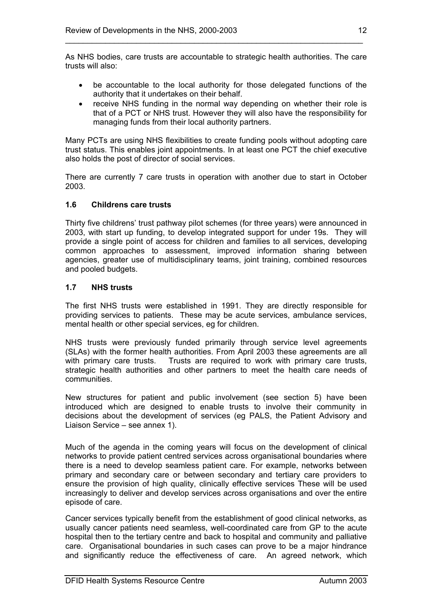As NHS bodies, care trusts are accountable to strategic health authorities. The care trusts will also:

\_\_\_\_\_\_\_\_\_\_\_\_\_\_\_\_\_\_\_\_\_\_\_\_\_\_\_\_\_\_\_\_\_\_\_\_\_\_\_\_\_\_\_\_\_\_\_\_\_\_\_\_\_\_\_\_\_\_\_\_\_\_\_\_\_\_\_

- be accountable to the local authority for those delegated functions of the authority that it undertakes on their behalf.
- receive NHS funding in the normal way depending on whether their role is that of a PCT or NHS trust. However they will also have the responsibility for managing funds from their local authority partners.

Many PCTs are using NHS flexibilities to create funding pools without adopting care trust status. This enables joint appointments. In at least one PCT the chief executive also holds the post of director of social services.

There are currently 7 care trusts in operation with another due to start in October 2003.

# **1.6 Childrens care trusts**

Thirty five childrens' trust pathway pilot schemes (for three years) were announced in 2003, with start up funding, to develop integrated support for under 19s. They will provide a single point of access for children and families to all services, developing common approaches to assessment, improved information sharing between agencies, greater use of multidisciplinary teams, joint training, combined resources and pooled budgets.

# **1.7 NHS trusts**

The first NHS trusts were established in 1991. They are directly responsible for providing services to patients. These may be acute services, ambulance services, mental health or other special services, eg for children.

NHS trusts were previously funded primarily through service level agreements (SLAs) with the former health authorities. From April 2003 these agreements are all with primary care trusts. Trusts are required to work with primary care trusts, strategic health authorities and other partners to meet the health care needs of communities.

New structures for patient and public involvement (see section 5) have been introduced which are designed to enable trusts to involve their community in decisions about the development of services (eg PALS, the Patient Advisory and Liaison Service – see annex 1).

Much of the agenda in the coming years will focus on the development of clinical networks to provide patient centred services across organisational boundaries where there is a need to develop seamless patient care. For example, networks between primary and secondary care or between secondary and tertiary care providers to ensure the provision of high quality, clinically effective services These will be used increasingly to deliver and develop services across organisations and over the entire episode of care.

Cancer services typically benefit from the establishment of good clinical networks, as usually cancer patients need seamless, well-coordinated care from GP to the acute hospital then to the tertiary centre and back to hospital and community and palliative care. Organisational boundaries in such cases can prove to be a major hindrance and significantly reduce the effectiveness of care. An agreed network, which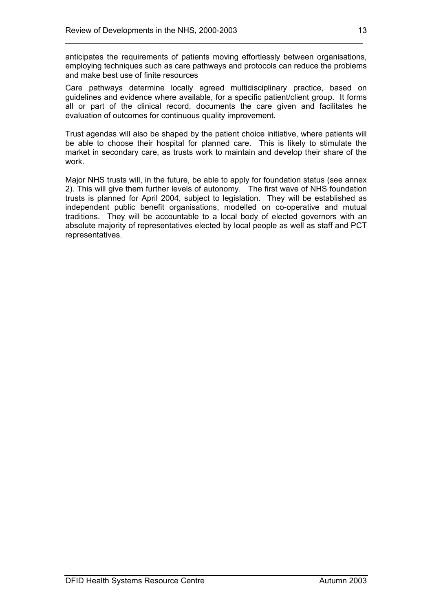anticipates the requirements of patients moving effortlessly between organisations, employing techniques such as care pathways and protocols can reduce the problems and make best use of finite resources

\_\_\_\_\_\_\_\_\_\_\_\_\_\_\_\_\_\_\_\_\_\_\_\_\_\_\_\_\_\_\_\_\_\_\_\_\_\_\_\_\_\_\_\_\_\_\_\_\_\_\_\_\_\_\_\_\_\_\_\_\_\_\_\_\_\_\_

Care pathways determine locally agreed multidisciplinary practice, based on guidelines and evidence where available, for a specific patient/client group. It forms all or part of the clinical record, documents the care given and facilitates he evaluation of outcomes for continuous quality improvement.

Trust agendas will also be shaped by the patient choice initiative, where patients will be able to choose their hospital for planned care. This is likely to stimulate the market in secondary care, as trusts work to maintain and develop their share of the work.

Major NHS trusts will, in the future, be able to apply for foundation status (see annex 2). This will give them further levels of autonomy. The first wave of NHS foundation trusts is planned for April 2004, subject to legislation. They will be established as independent public benefit organisations, modelled on co-operative and mutual traditions. They will be accountable to a local body of elected governors with an absolute majority of representatives elected by local people as well as staff and PCT representatives.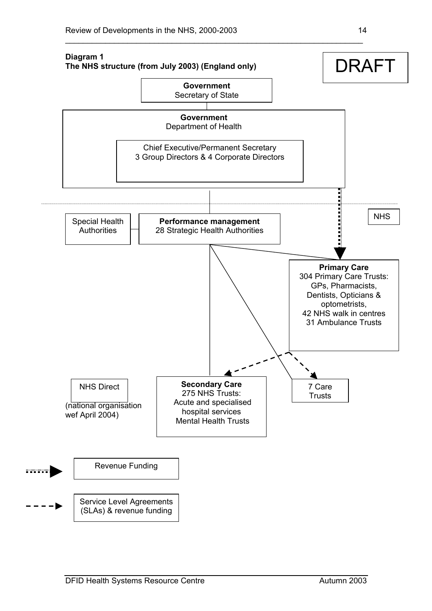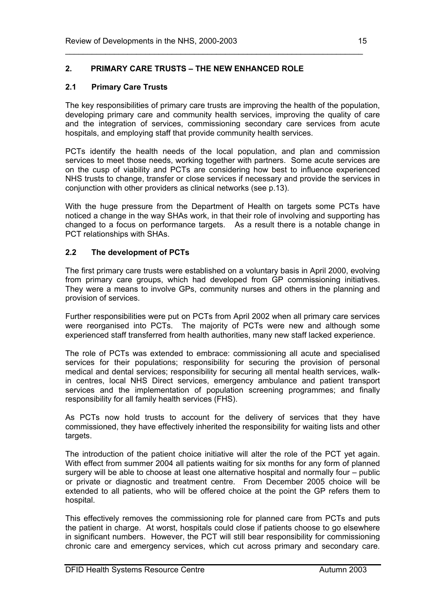# **2. PRIMARY CARE TRUSTS – THE NEW ENHANCED ROLE**

# **2.1 Primary Care Trusts**

The key responsibilities of primary care trusts are improving the health of the population, developing primary care and community health services, improving the quality of care and the integration of services, commissioning secondary care services from acute hospitals, and employing staff that provide community health services.

\_\_\_\_\_\_\_\_\_\_\_\_\_\_\_\_\_\_\_\_\_\_\_\_\_\_\_\_\_\_\_\_\_\_\_\_\_\_\_\_\_\_\_\_\_\_\_\_\_\_\_\_\_\_\_\_\_\_\_\_\_\_\_\_\_\_\_

PCTs identify the health needs of the local population, and plan and commission services to meet those needs, working together with partners. Some acute services are on the cusp of viability and PCTs are considering how best to influence experienced NHS trusts to change, transfer or close services if necessary and provide the services in conjunction with other providers as clinical networks (see p.13).

With the huge pressure from the Department of Health on targets some PCTs have noticed a change in the way SHAs work, in that their role of involving and supporting has changed to a focus on performance targets. As a result there is a notable change in PCT relationships with SHAs.

# **2.2 The development of PCTs**

The first primary care trusts were established on a voluntary basis in April 2000, evolving from primary care groups, which had developed from GP commissioning initiatives. They were a means to involve GPs, community nurses and others in the planning and provision of services.

Further responsibilities were put on PCTs from April 2002 when all primary care services were reorganised into PCTs. The majority of PCTs were new and although some experienced staff transferred from health authorities, many new staff lacked experience.

The role of PCTs was extended to embrace: commissioning all acute and specialised services for their populations; responsibility for securing the provision of personal medical and dental services; responsibility for securing all mental health services, walkin centres, local NHS Direct services, emergency ambulance and patient transport services and the implementation of population screening programmes; and finally responsibility for all family health services (FHS).

As PCTs now hold trusts to account for the delivery of services that they have commissioned, they have effectively inherited the responsibility for waiting lists and other targets.

The introduction of the patient choice initiative will alter the role of the PCT yet again. With effect from summer 2004 all patients waiting for six months for any form of planned surgery will be able to choose at least one alternative hospital and normally four – public or private or diagnostic and treatment centre. From December 2005 choice will be extended to all patients, who will be offered choice at the point the GP refers them to hospital.

This effectively removes the commissioning role for planned care from PCTs and puts the patient in charge. At worst, hospitals could close if patients choose to go elsewhere in significant numbers. However, the PCT will still bear responsibility for commissioning chronic care and emergency services, which cut across primary and secondary care.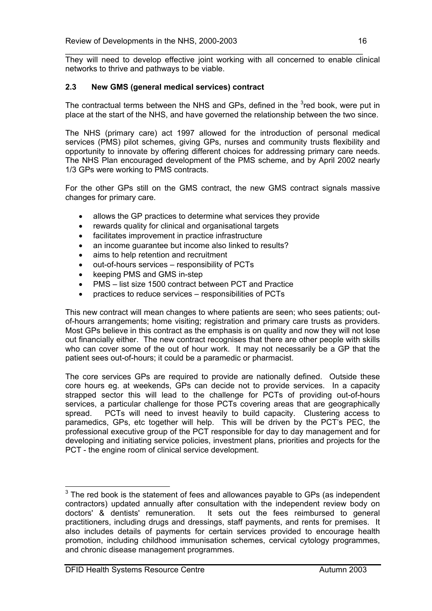They will need to develop effective joint working with all concerned to enable clinical networks to thrive and pathways to be viable.

\_\_\_\_\_\_\_\_\_\_\_\_\_\_\_\_\_\_\_\_\_\_\_\_\_\_\_\_\_\_\_\_\_\_\_\_\_\_\_\_\_\_\_\_\_\_\_\_\_\_\_\_\_\_\_\_\_\_\_\_\_\_\_\_\_\_\_

# **2.3 New GMS (general medical services) contract**

The contractual terms between the NHS and GPs, defined in the  $3$ red book, were put in place at the start of the NHS, and have governed the relationship between the two since.

The NHS (primary care) act 1997 allowed for the introduction of personal medical services (PMS) pilot schemes, giving GPs, nurses and community trusts flexibility and opportunity to innovate by offering different choices for addressing primary care needs. The NHS Plan encouraged development of the PMS scheme, and by April 2002 nearly 1/3 GPs were working to PMS contracts.

For the other GPs still on the GMS contract, the new GMS contract signals massive changes for primary care.

- allows the GP practices to determine what services they provide
- rewards quality for clinical and organisational targets
- facilitates improvement in practice infrastructure
- an income quarantee but income also linked to results?
- aims to help retention and recruitment
- out-of-hours services responsibility of PCTs
- keeping PMS and GMS in-step
- PMS list size 1500 contract between PCT and Practice
- practices to reduce services responsibilities of PCTs

This new contract will mean changes to where patients are seen; who sees patients; outof-hours arrangements; home visiting; registration and primary care trusts as providers. Most GPs believe in this contract as the emphasis is on quality and now they will not lose out financially either. The new contract recognises that there are other people with skills who can cover some of the out of hour work. It may not necessarily be a GP that the patient sees out-of-hours; it could be a paramedic or pharmacist.

The core services GPs are required to provide are nationally defined. Outside these core hours eg. at weekends, GPs can decide not to provide services. In a capacity strapped sector this will lead to the challenge for PCTs of providing out-of-hours services, a particular challenge for those PCTs covering areas that are geographically spread. PCTs will need to invest heavily to build capacity. Clustering access to paramedics, GPs, etc together will help. This will be driven by the PCT's PEC, the professional executive group of the PCT responsible for day to day management and for developing and initiating service policies, investment plans, priorities and projects for the PCT - the engine room of clinical service development.

 $3$  The red book is the statement of fees and allowances payable to GPs (as independent contractors) updated annually after consultation with the independent review body on doctors' & dentists' remuneration. It sets out the fees reimbursed to general practitioners, including drugs and dressings, staff payments, and rents for premises. It also includes details of payments for certain services provided to encourage health promotion, including childhood immunisation schemes, cervical cytology programmes, and chronic disease management programmes.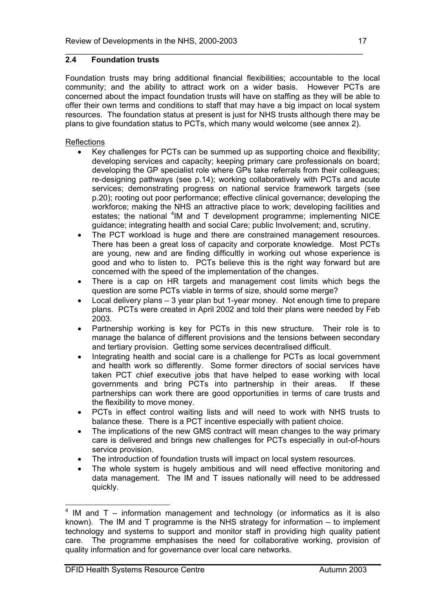# **2.4 Foundation trusts**

Foundation trusts may bring additional financial flexibilities; accountable to the local community; and the ability to attract work on a wider basis. However PCTs are concerned about the impact foundation trusts will have on staffing as they will be able to offer their own terms and conditions to staff that may have a big impact on local system resources. The foundation status at present is just for NHS trusts although there may be plans to give foundation status to PCTs, which many would welcome (see annex 2).

\_\_\_\_\_\_\_\_\_\_\_\_\_\_\_\_\_\_\_\_\_\_\_\_\_\_\_\_\_\_\_\_\_\_\_\_\_\_\_\_\_\_\_\_\_\_\_\_\_\_\_\_\_\_\_\_\_\_\_\_\_\_\_\_\_\_\_

# **Reflections**

- Key challenges for PCTs can be summed up as supporting choice and flexibility; developing services and capacity; keeping primary care professionals on board; developing the GP specialist role where GPs take referrals from their colleagues; re-designing pathways (see p.14); working collaboratively with PCTs and acute services; demonstrating progress on national service framework targets (see p.20); rooting out poor performance; effective clinical governance; developing the workforce; making the NHS an attractive place to work; developing facilities and estates; the national <sup>4</sup>IM and T development programme; implementing NICE guidance; integrating health and social Care; public Involvement; and, scrutiny.
- The PCT workload is huge and there are constrained management resources. There has been a great loss of capacity and corporate knowledge. Most PCTs are young, new and are finding difficultly in working out whose experience is good and who to listen to. PCTs believe this is the right way forward but are concerned with the speed of the implementation of the changes.
- There is a cap on HR targets and management cost limits which begs the question are some PCTs viable in terms of size, should some merge?
- Local delivery plans 3 year plan but 1-year money. Not enough time to prepare plans. PCTs were created in April 2002 and told their plans were needed by Feb 2003.
- Partnership working is key for PCTs in this new structure. Their role is to manage the balance of different provisions and the tensions between secondary and tertiary provision. Getting some services decentralised difficult.
- Integrating health and social care is a challenge for PCTs as local government and health work so differently. Some former directors of social services have taken PCT chief executive jobs that have helped to ease working with local governments and bring PCTs into partnership in their areas. If these partnerships can work there are good opportunities in terms of care trusts and the flexibility to move money.
- PCTs in effect control waiting lists and will need to work with NHS trusts to balance these. There is a PCT incentive especially with patient choice.
- The implications of the new GMS contract will mean changes to the way primary care is delivered and brings new challenges for PCTs especially in out-of-hours service provision.
- The introduction of foundation trusts will impact on local system resources.
- The whole system is hugely ambitious and will need effective monitoring and data management. The IM and T issues nationally will need to be addressed quickly.

 $4$  IM and T – information management and technology (or informatics as it is also known). The IM and T programme is the NHS strategy for information – to implement technology and systems to support and monitor staff in providing high quality patient care. The programme emphasises the need for collaborative working, provision of quality information and for governance over local care networks.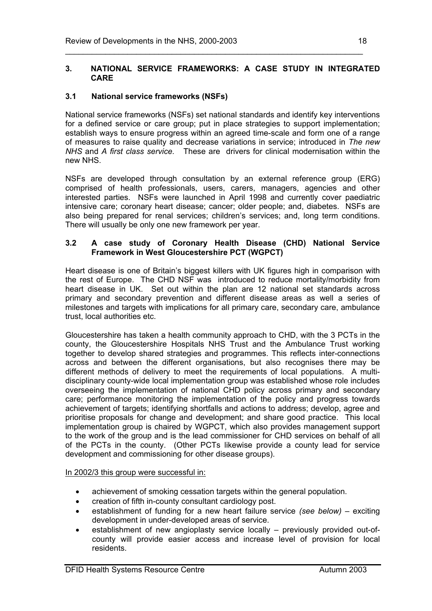#### **3. NATIONAL SERVICE FRAMEWORKS: A CASE STUDY IN INTEGRATED CARE**

\_\_\_\_\_\_\_\_\_\_\_\_\_\_\_\_\_\_\_\_\_\_\_\_\_\_\_\_\_\_\_\_\_\_\_\_\_\_\_\_\_\_\_\_\_\_\_\_\_\_\_\_\_\_\_\_\_\_\_\_\_\_\_\_\_\_\_

# **3.1 National service frameworks (NSFs)**

National service frameworks (NSFs) set national standards and identify key interventions for a defined service or care group; put in place strategies to support implementation; establish ways to ensure progress within an agreed time-scale and form one of a range of measures to raise quality and decrease variations in service; introduced in *The new NHS* and *A first class service.* These are drivers for clinical modernisation within the new NHS.

NSFs are developed through consultation by an external reference group (ERG) comprised of health professionals, users, carers, managers, agencies and other interested parties. NSFs were launched in April 1998 and currently cover paediatric intensive care; coronary heart disease; cancer; older people; and, diabetes. NSFs are also being prepared for renal services; children's services; and, long term conditions. There will usually be only one new framework per year.

#### **3.2 A case study of Coronary Health Disease (CHD) National Service Framework in West Gloucestershire PCT (WGPCT)**

Heart disease is one of Britain's biggest killers with UK figures high in comparison with the rest of Europe. The CHD NSF was introduced to reduce mortality/morbidity from heart disease in UK. Set out within the plan are 12 national set standards across primary and secondary prevention and different disease areas as well a series of milestones and targets with implications for all primary care, secondary care, ambulance trust, local authorities etc.

Gloucestershire has taken a health community approach to CHD, with the 3 PCTs in the county, the Gloucestershire Hospitals NHS Trust and the Ambulance Trust working together to develop shared strategies and programmes. This reflects inter-connections across and between the different organisations, but also recognises there may be different methods of delivery to meet the requirements of local populations. A multidisciplinary county-wide local implementation group was established whose role includes overseeing the implementation of national CHD policy across primary and secondary care; performance monitoring the implementation of the policy and progress towards achievement of targets; identifying shortfalls and actions to address; develop, agree and prioritise proposals for change and development; and share good practice. This local implementation group is chaired by WGPCT, which also provides management support to the work of the group and is the lead commissioner for CHD services on behalf of all of the PCTs in the county. (Other PCTs likewise provide a county lead for service development and commissioning for other disease groups).

In 2002/3 this group were successful in:

- achievement of smoking cessation targets within the general population.
- creation of fifth in-county consultant cardiology post.
- establishment of funding for a new heart failure service *(see below)* exciting development in under-developed areas of service.
- establishment of new angioplasty service locally previously provided out-ofcounty will provide easier access and increase level of provision for local residents.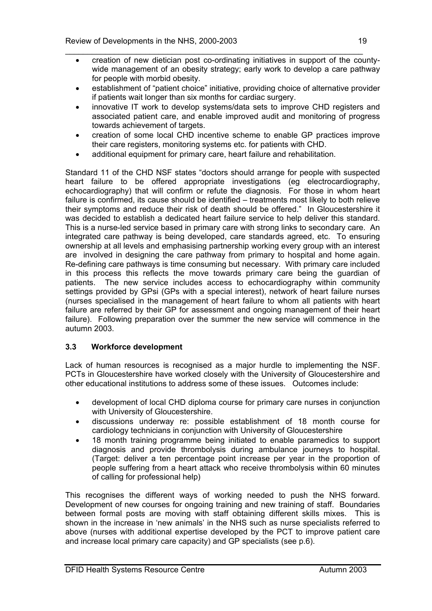- \_\_\_\_\_\_\_\_\_\_\_\_\_\_\_\_\_\_\_\_\_\_\_\_\_\_\_\_\_\_\_\_\_\_\_\_\_\_\_\_\_\_\_\_\_\_\_\_\_\_\_\_\_\_\_\_\_\_\_\_\_\_\_\_\_\_\_ • creation of new dietician post co-ordinating initiatives in support of the countywide management of an obesity strategy; early work to develop a care pathway for people with morbid obesity.
	- establishment of "patient choice" initiative, providing choice of alternative provider if patients wait longer than six months for cardiac surgery.
	- innovative IT work to develop systems/data sets to improve CHD registers and associated patient care, and enable improved audit and monitoring of progress towards achievement of targets.
	- creation of some local CHD incentive scheme to enable GP practices improve their care registers, monitoring systems etc. for patients with CHD.
	- additional equipment for primary care, heart failure and rehabilitation.

Standard 11 of the CHD NSF states "doctors should arrange for people with suspected heart failure to be offered appropriate investigations (eg electrocardiography, echocardiography) that will confirm or refute the diagnosis. For those in whom heart failure is confirmed, its cause should be identified – treatments most likely to both relieve their symptoms and reduce their risk of death should be offered." In Gloucestershire it was decided to establish a dedicated heart failure service to help deliver this standard. This is a nurse-led service based in primary care with strong links to secondary care. An integrated care pathway is being developed, care standards agreed, etc. To ensuring ownership at all levels and emphasising partnership working every group with an interest are involved in designing the care pathway from primary to hospital and home again. Re-defining care pathways is time consuming but necessary. With primary care included in this process this reflects the move towards primary care being the guardian of patients. The new service includes access to echocardiography within community settings provided by GPsi (GPs with a special interest), network of heart failure nurses (nurses specialised in the management of heart failure to whom all patients with heart failure are referred by their GP for assessment and ongoing management of their heart failure). Following preparation over the summer the new service will commence in the autumn 2003.

# **3.3 Workforce development**

Lack of human resources is recognised as a major hurdle to implementing the NSF. PCTs in Gloucestershire have worked closely with the University of Gloucestershire and other educational institutions to address some of these issues. Outcomes include:

- development of local CHD diploma course for primary care nurses in conjunction with University of Gloucestershire.
- discussions underway re: possible establishment of 18 month course for cardiology technicians in conjunction with University of Gloucestershire
- 18 month training programme being initiated to enable paramedics to support diagnosis and provide thrombolysis during ambulance journeys to hospital. (Target: deliver a ten percentage point increase per year in the proportion of people suffering from a heart attack who receive thrombolysis within 60 minutes of calling for professional help)

This recognises the different ways of working needed to push the NHS forward. Development of new courses for ongoing training and new training of staff. Boundaries between formal posts are moving with staff obtaining different skills mixes. This is shown in the increase in 'new animals' in the NHS such as nurse specialists referred to above (nurses with additional expertise developed by the PCT to improve patient care and increase local primary care capacity) and GP specialists (see p.6).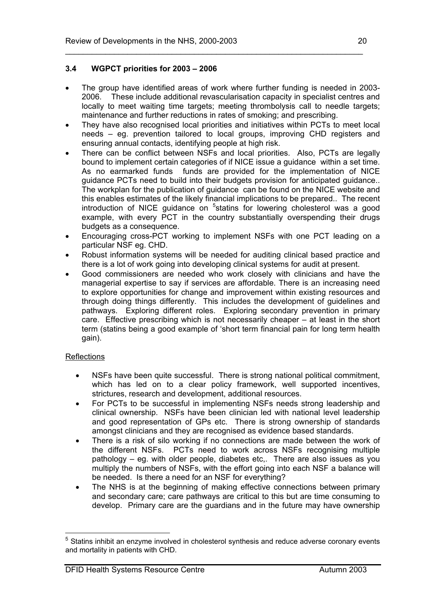# **3.4 WGPCT priorities for 2003 – 2006**

- The group have identified areas of work where further funding is needed in 2003- 2006. These include additional revascularisation capacity in specialist centres and locally to meet waiting time targets; meeting thrombolysis call to needle targets; maintenance and further reductions in rates of smoking; and prescribing.
- They have also recognised local priorities and initiatives within PCTs to meet local needs – eg. prevention tailored to local groups, improving CHD registers and ensuring annual contacts, identifying people at high risk.
- There can be conflict between NSFs and local priorities. Also, PCTs are legally bound to implement certain categories of if NICE issue a guidance within a set time. As no earmarked funds funds are provided for the implementation of NICE guidance PCTs need to build into their budgets provision for anticipated guidance.. The workplan for the publication of guidance can be found on the NICE website and this enables estimates of the likely financial implications to be prepared.. The recent introduction of NICE guidance on <sup>5</sup>statins for lowering cholesterol was a good example, with every PCT in the country substantially overspending their drugs budgets as a consequence.
- Encouraging cross-PCT working to implement NSFs with one PCT leading on a particular NSF eg. CHD.
- Robust information systems will be needed for auditing clinical based practice and there is a lot of work going into developing clinical systems for audit at present.
- Good commissioners are needed who work closely with clinicians and have the managerial expertise to say if services are affordable. There is an increasing need to explore opportunities for change and improvement within existing resources and through doing things differently. This includes the development of guidelines and pathways. Exploring different roles. Exploring secondary prevention in primary care. Effective prescribing which is not necessarily cheaper – at least in the short term (statins being a good example of 'short term financial pain for long term health gain).

# **Reflections**

 $\overline{a}$ 

- NSFs have been quite successful. There is strong national political commitment, which has led on to a clear policy framework, well supported incentives, strictures, research and development, additional resources.
- For PCTs to be successful in implementing NSFs needs strong leadership and clinical ownership. NSFs have been clinician led with national level leadership and good representation of GPs etc. There is strong ownership of standards amongst clinicians and they are recognised as evidence based standards.
- There is a risk of silo working if no connections are made between the work of the different NSFs. PCTs need to work across NSFs recognising multiple pathology – eg. with older people, diabetes etc,. There are also issues as you multiply the numbers of NSFs, with the effort going into each NSF a balance will be needed. Is there a need for an NSF for everything?
- The NHS is at the beginning of making effective connections between primary and secondary care; care pathways are critical to this but are time consuming to develop. Primary care are the guardians and in the future may have ownership

<sup>&</sup>lt;sup>5</sup> Statins inhibit an enzyme involved in cholesterol synthesis and reduce adverse coronary events and mortality in patients with CHD.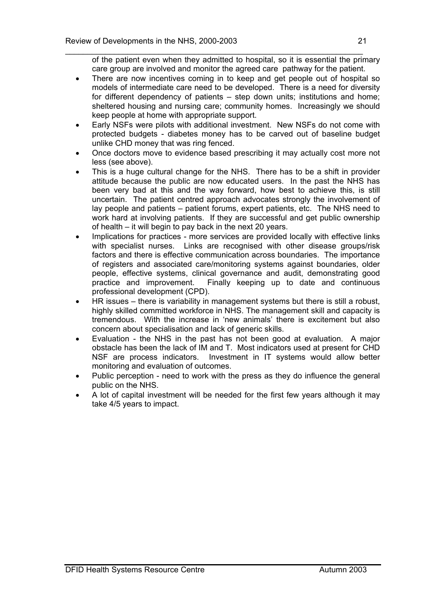\_\_\_\_\_\_\_\_\_\_\_\_\_\_\_\_\_\_\_\_\_\_\_\_\_\_\_\_\_\_\_\_\_\_\_\_\_\_\_\_\_\_\_\_\_\_\_\_\_\_\_\_\_\_\_\_\_\_\_\_\_\_\_\_\_\_\_ of the patient even when they admitted to hospital, so it is essential the primary care group are involved and monitor the agreed care pathway for the patient.

- There are now incentives coming in to keep and get people out of hospital so models of intermediate care need to be developed. There is a need for diversity for different dependency of patients – step down units; institutions and home; sheltered housing and nursing care; community homes. Increasingly we should keep people at home with appropriate support.
- Early NSFs were pilots with additional investment. New NSFs do not come with protected budgets - diabetes money has to be carved out of baseline budget unlike CHD money that was ring fenced.
- Once doctors move to evidence based prescribing it may actually cost more not less (see above).
- This is a huge cultural change for the NHS. There has to be a shift in provider attitude because the public are now educated users. In the past the NHS has been very bad at this and the way forward, how best to achieve this, is still uncertain. The patient centred approach advocates strongly the involvement of lay people and patients – patient forums, expert patients, etc. The NHS need to work hard at involving patients. If they are successful and get public ownership of health – it will begin to pay back in the next 20 years.
- Implications for practices more services are provided locally with effective links with specialist nurses. Links are recognised with other disease groups/risk factors and there is effective communication across boundaries. The importance of registers and associated care/monitoring systems against boundaries, older people, effective systems, clinical governance and audit, demonstrating good practice and improvement. Finally keeping up to date and continuous professional development (CPD).
- HR issues there is variability in management systems but there is still a robust, highly skilled committed workforce in NHS. The management skill and capacity is tremendous. With the increase in 'new animals' there is excitement but also concern about specialisation and lack of generic skills.
- Evaluation the NHS in the past has not been good at evaluation. A major obstacle has been the lack of IM and T. Most indicators used at present for CHD NSF are process indicators. Investment in IT systems would allow better monitoring and evaluation of outcomes.
- Public perception need to work with the press as they do influence the general public on the NHS.
- A lot of capital investment will be needed for the first few years although it may take 4/5 years to impact.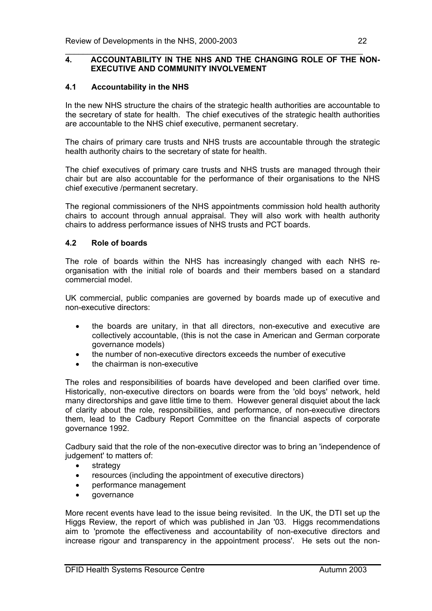#### \_\_\_\_\_\_\_\_\_\_\_\_\_\_\_\_\_\_\_\_\_\_\_\_\_\_\_\_\_\_\_\_\_\_\_\_\_\_\_\_\_\_\_\_\_\_\_\_\_\_\_\_\_\_\_\_\_\_\_\_\_\_\_\_\_\_\_ **4. ACCOUNTABILITY IN THE NHS AND THE CHANGING ROLE OF THE NON-EXECUTIVE AND COMMUNITY INVOLVEMENT**

# **4.1 Accountability in the NHS**

In the new NHS structure the chairs of the strategic health authorities are accountable to the secretary of state for health. The chief executives of the strategic health authorities are accountable to the NHS chief executive, permanent secretary.

The chairs of primary care trusts and NHS trusts are accountable through the strategic health authority chairs to the secretary of state for health.

The chief executives of primary care trusts and NHS trusts are managed through their chair but are also accountable for the performance of their organisations to the NHS chief executive /permanent secretary.

The regional commissioners of the NHS appointments commission hold health authority chairs to account through annual appraisal. They will also work with health authority chairs to address performance issues of NHS trusts and PCT boards.

#### **4.2 Role of boards**

The role of boards within the NHS has increasingly changed with each NHS reorganisation with the initial role of boards and their members based on a standard commercial model.

UK commercial, public companies are governed by boards made up of executive and non-executive directors:

- the boards are unitary, in that all directors, non-executive and executive are collectively accountable, (this is not the case in American and German corporate governance models)
- the number of non-executive directors exceeds the number of executive
- the chairman is non-executive

The roles and responsibilities of boards have developed and been clarified over time. Historically, non-executive directors on boards were from the 'old boys' network, held many directorships and gave little time to them. However general disquiet about the lack of clarity about the role, responsibilities, and performance, of non-executive directors them, lead to the Cadbury Report Committee on the financial aspects of corporate governance 1992.

Cadbury said that the role of the non-executive director was to bring an 'independence of judgement' to matters of:

- strategy
- resources (including the appointment of executive directors)
- performance management
- governance

More recent events have lead to the issue being revisited. In the UK, the DTI set up the Higgs Review, the report of which was published in Jan '03. Higgs recommendations aim to 'promote the effectiveness and accountability of non-executive directors and increase rigour and transparency in the appointment process'. He sets out the non-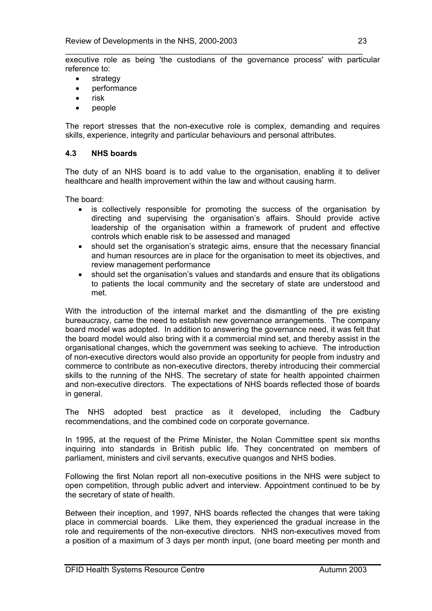- strategy
- performance
- risk
- people

The report stresses that the non-executive role is complex, demanding and requires skills, experience, integrity and particular behaviours and personal attributes.

# **4.3 NHS boards**

The duty of an NHS board is to add value to the organisation, enabling it to deliver healthcare and health improvement within the law and without causing harm.

The board:

- is collectively responsible for promoting the success of the organisation by directing and supervising the organisation's affairs. Should provide active leadership of the organisation within a framework of prudent and effective controls which enable risk to be assessed and managed
- should set the organisation's strategic aims, ensure that the necessary financial and human resources are in place for the organisation to meet its objectives, and review management performance
- should set the organisation's values and standards and ensure that its obligations to patients the local community and the secretary of state are understood and met.

With the introduction of the internal market and the dismantling of the pre existing bureaucracy, came the need to establish new governance arrangements. The company board model was adopted. In addition to answering the governance need, it was felt that the board model would also bring with it a commercial mind set, and thereby assist in the organisational changes, which the government was seeking to achieve. The introduction of non-executive directors would also provide an opportunity for people from industry and commerce to contribute as non-executive directors, thereby introducing their commercial skills to the running of the NHS. The secretary of state for health appointed chairmen and non-executive directors. The expectations of NHS boards reflected those of boards in general.

The NHS adopted best practice as it developed, including the Cadbury recommendations, and the combined code on corporate governance.

In 1995, at the request of the Prime Minister, the Nolan Committee spent six months inquiring into standards in British public life. They concentrated on members of parliament, ministers and civil servants, executive quangos and NHS bodies.

Following the first Nolan report all non-executive positions in the NHS were subject to open competition, through public advert and interview. Appointment continued to be by the secretary of state of health.

Between their inception, and 1997, NHS boards reflected the changes that were taking place in commercial boards. Like them, they experienced the gradual increase in the role and requirements of the non-executive directors. NHS non-executives moved from a position of a maximum of 3 days per month input, (one board meeting per month and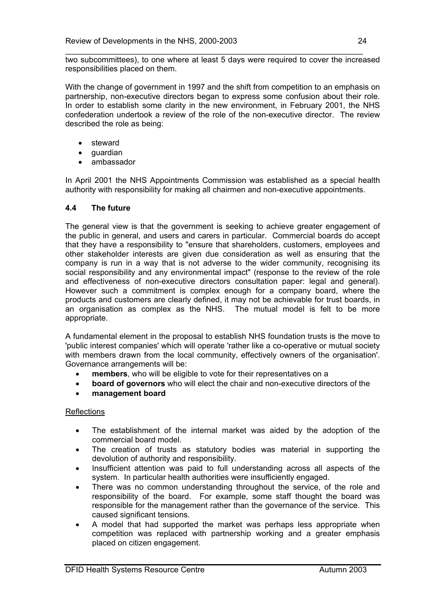\_\_\_\_\_\_\_\_\_\_\_\_\_\_\_\_\_\_\_\_\_\_\_\_\_\_\_\_\_\_\_\_\_\_\_\_\_\_\_\_\_\_\_\_\_\_\_\_\_\_\_\_\_\_\_\_\_\_\_\_\_\_\_\_\_\_\_ two subcommittees), to one where at least 5 days were required to cover the increased responsibilities placed on them.

With the change of government in 1997 and the shift from competition to an emphasis on partnership, non-executive directors began to express some confusion about their role. In order to establish some clarity in the new environment, in February 2001, the NHS confederation undertook a review of the role of the non-executive director. The review described the role as being:

- steward
- guardian
- ambassador

In April 2001 the NHS Appointments Commission was established as a special health authority with responsibility for making all chairmen and non-executive appointments.

# **4.4 The future**

The general view is that the government is seeking to achieve greater engagement of the public in general, and users and carers in particular. Commercial boards do accept that they have a responsibility to "ensure that shareholders, customers, employees and other stakeholder interests are given due consideration as well as ensuring that the company is run in a way that is not adverse to the wider community, recognising its social responsibility and any environmental impact" (response to the review of the role and effectiveness of non-executive directors consultation paper: legal and general). However such a commitment is complex enough for a company board, where the products and customers are clearly defined, it may not be achievable for trust boards, in an organisation as complex as the NHS. The mutual model is felt to be more appropriate.

A fundamental element in the proposal to establish NHS foundation trusts is the move to 'public interest companies' which will operate 'rather like a co-operative or mutual society with members drawn from the local community, effectively owners of the organisation'. Governance arrangements will be:

- **members**, who will be eligible to vote for their representatives on a
- **board of governors** who will elect the chair and non-executive directors of the
- **management board**

# **Reflections**

- The establishment of the internal market was aided by the adoption of the commercial board model.
- The creation of trusts as statutory bodies was material in supporting the devolution of authority and responsibility.
- Insufficient attention was paid to full understanding across all aspects of the system. In particular health authorities were insufficiently engaged.
- There was no common understanding throughout the service, of the role and responsibility of the board. For example, some staff thought the board was responsible for the management rather than the governance of the service. This caused significant tensions.
- A model that had supported the market was perhaps less appropriate when competition was replaced with partnership working and a greater emphasis placed on citizen engagement.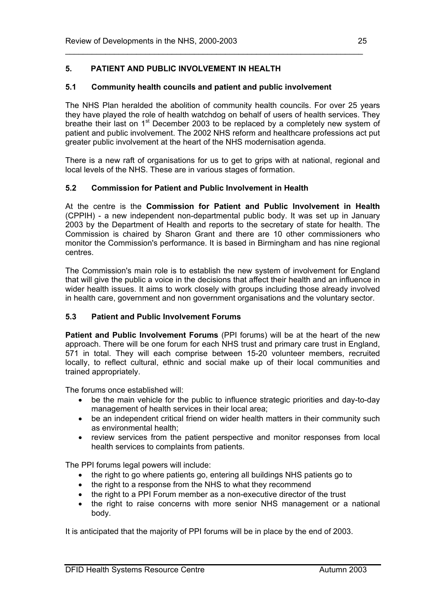# **5. PATIENT AND PUBLIC INVOLVEMENT IN HEALTH**

# **5.1 Community health councils and patient and public involvement**

The NHS Plan heralded the abolition of community health councils. For over 25 years they have played the role of health watchdog on behalf of users of health services. They breathe their last on 1<sup>st</sup> December 2003 to be replaced by a completely new system of patient and public involvement. The 2002 NHS reform and healthcare professions act put greater public involvement at the heart of the NHS modernisation agenda.

\_\_\_\_\_\_\_\_\_\_\_\_\_\_\_\_\_\_\_\_\_\_\_\_\_\_\_\_\_\_\_\_\_\_\_\_\_\_\_\_\_\_\_\_\_\_\_\_\_\_\_\_\_\_\_\_\_\_\_\_\_\_\_\_\_\_\_

There is a new raft of organisations for us to get to grips with at national, regional and local levels of the NHS. These are in various stages of formation.

# **5.2 Commission for Patient and Public Involvement in Health**

At the centre is the **Commission for Patient and Public Involvement in Health** (CPPIH) - a new independent non-departmental public body. It was set up in January 2003 by the Department of Health and reports to the secretary of state for health. The Commission is chaired by Sharon Grant and there are 10 other commissioners who monitor the Commission's performance. It is based in Birmingham and has nine regional centres.

The Commission's main role is to establish the new system of involvement for England that will give the public a voice in the decisions that affect their health and an influence in wider health issues. It aims to work closely with groups including those already involved in health care, government and non government organisations and the voluntary sector.

# **5.3 Patient and Public Involvement Forums**

**Patient and Public Involvement Forums** (PPI forums) will be at the heart of the new approach. There will be one forum for each NHS trust and primary care trust in England, 571 in total. They will each comprise between 15-20 volunteer members, recruited locally, to reflect cultural, ethnic and social make up of their local communities and trained appropriately.

The forums once established will:

- be the main vehicle for the public to influence strategic priorities and day-to-day management of health services in their local area;
- be an independent critical friend on wider health matters in their community such as environmental health;
- review services from the patient perspective and monitor responses from local health services to complaints from patients.

The PPI forums legal powers will include:

- the right to go where patients go, entering all buildings NHS patients go to
- the right to a response from the NHS to what they recommend
- the right to a PPI Forum member as a non-executive director of the trust
- the right to raise concerns with more senior NHS management or a national body.

It is anticipated that the majority of PPI forums will be in place by the end of 2003.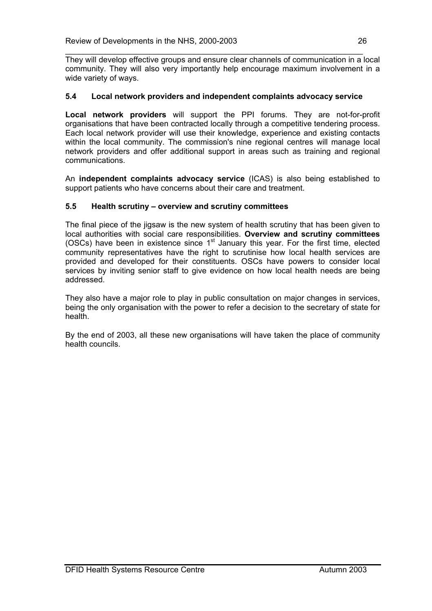\_\_\_\_\_\_\_\_\_\_\_\_\_\_\_\_\_\_\_\_\_\_\_\_\_\_\_\_\_\_\_\_\_\_\_\_\_\_\_\_\_\_\_\_\_\_\_\_\_\_\_\_\_\_\_\_\_\_\_\_\_\_\_\_\_\_\_ They will develop effective groups and ensure clear channels of communication in a local community. They will also very importantly help encourage maximum involvement in a wide variety of ways.

# **5.4 Local network providers and independent complaints advocacy service**

**Local network providers** will support the PPI forums. They are not-for-profit organisations that have been contracted locally through a competitive tendering process. Each local network provider will use their knowledge, experience and existing contacts within the local community. The commission's nine regional centres will manage local network providers and offer additional support in areas such as training and regional communications.

An **independent complaints advocacy service** (ICAS) is also being established to support patients who have concerns about their care and treatment.

# **5.5 Health scrutiny – overview and scrutiny committees**

The final piece of the jigsaw is the new system of health scrutiny that has been given to local authorities with social care responsibilities. **Overview and scrutiny committees**  (OSCs) have been in existence since  $1<sup>st</sup>$  January this year. For the first time, elected community representatives have the right to scrutinise how local health services are provided and developed for their constituents. OSCs have powers to consider local services by inviting senior staff to give evidence on how local health needs are being addressed.

They also have a major role to play in public consultation on major changes in services, being the only organisation with the power to refer a decision to the secretary of state for health.

By the end of 2003, all these new organisations will have taken the place of community health councils.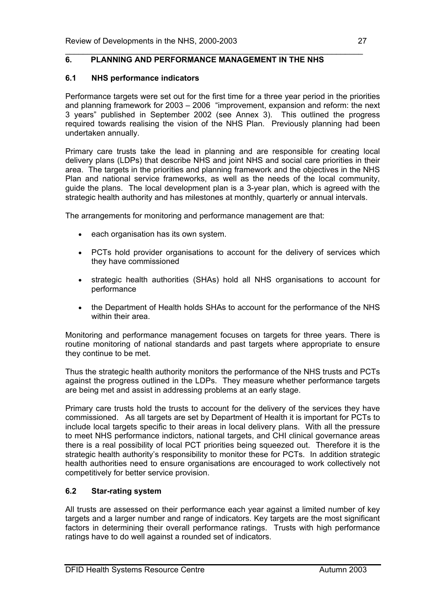#### \_\_\_\_\_\_\_\_\_\_\_\_\_\_\_\_\_\_\_\_\_\_\_\_\_\_\_\_\_\_\_\_\_\_\_\_\_\_\_\_\_\_\_\_\_\_\_\_\_\_\_\_\_\_\_\_\_\_\_\_\_\_\_\_\_\_\_ **6. PLANNING AND PERFORMANCE MANAGEMENT IN THE NHS**

# **6.1 NHS performance indicators**

Performance targets were set out for the first time for a three year period in the priorities and planning framework for 2003 – 2006 "improvement, expansion and reform: the next 3 years" published in September 2002 (see Annex 3). This outlined the progress required towards realising the vision of the NHS Plan. Previously planning had been undertaken annually.

Primary care trusts take the lead in planning and are responsible for creating local delivery plans (LDPs) that describe NHS and joint NHS and social care priorities in their area. The targets in the priorities and planning framework and the objectives in the NHS Plan and national service frameworks, as well as the needs of the local community, guide the plans. The local development plan is a 3-year plan, which is agreed with the strategic health authority and has milestones at monthly, quarterly or annual intervals.

The arrangements for monitoring and performance management are that:

- each organisation has its own system.
- PCTs hold provider organisations to account for the delivery of services which they have commissioned
- strategic health authorities (SHAs) hold all NHS organisations to account for performance
- the Department of Health holds SHAs to account for the performance of the NHS within their area.

Monitoring and performance management focuses on targets for three years. There is routine monitoring of national standards and past targets where appropriate to ensure they continue to be met.

Thus the strategic health authority monitors the performance of the NHS trusts and PCTs against the progress outlined in the LDPs. They measure whether performance targets are being met and assist in addressing problems at an early stage.

Primary care trusts hold the trusts to account for the delivery of the services they have commissioned. As all targets are set by Department of Health it is important for PCTs to include local targets specific to their areas in local delivery plans. With all the pressure to meet NHS performance indictors, national targets, and CHI clinical governance areas there is a real possibility of local PCT priorities being squeezed out. Therefore it is the strategic health authority's responsibility to monitor these for PCTs. In addition strategic health authorities need to ensure organisations are encouraged to work collectively not competitively for better service provision.

# **6.2 Star-rating system**

All trusts are assessed on their performance each year against a limited number of key targets and a larger number and range of indicators. Key targets are the most significant factors in determining their overall performance ratings. Trusts with high performance ratings have to do well against a rounded set of indicators.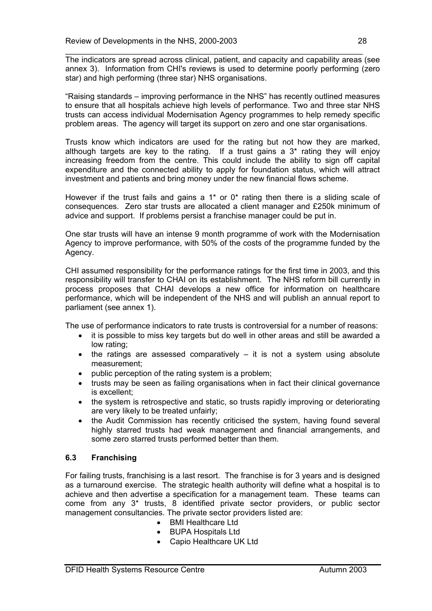The indicators are spread across clinical, patient, and capacity and capability areas (see annex 3). Information from CHI's reviews is used to determine poorly performing (zero star) and high performing (three star) NHS organisations.

"Raising standards – improving performance in the NHS" has recently outlined measures to ensure that all hospitals achieve high levels of performance. Two and three star NHS trusts can access individual Modernisation Agency programmes to help remedy specific problem areas. The agency will target its support on zero and one star organisations.

Trusts know which indicators are used for the rating but not how they are marked, although targets are key to the rating. If a trust gains a 3\* rating they will enjoy increasing freedom from the centre. This could include the ability to sign off capital expenditure and the connected ability to apply for foundation status, which will attract investment and patients and bring money under the new financial flows scheme.

However if the trust fails and gains a  $1*$  or  $0*$  rating then there is a sliding scale of consequences. Zero star trusts are allocated a client manager and £250k minimum of advice and support. If problems persist a franchise manager could be put in.

One star trusts will have an intense 9 month programme of work with the Modernisation Agency to improve performance, with 50% of the costs of the programme funded by the Agency.

CHI assumed responsibility for the performance ratings for the first time in 2003, and this responsibility will transfer to CHAI on its establishment. The NHS reform bill currently in process proposes that CHAI develops a new office for information on healthcare performance, which will be independent of the NHS and will publish an annual report to parliament (see annex 1).

The use of performance indicators to rate trusts is controversial for a number of reasons:

- it is possible to miss key targets but do well in other areas and still be awarded a low rating;
- the ratings are assessed comparatively it is not a system using absolute measurement;
- public perception of the rating system is a problem;
- trusts may be seen as failing organisations when in fact their clinical governance is excellent;
- the system is retrospective and static, so trusts rapidly improving or deteriorating are very likely to be treated unfairly;
- the Audit Commission has recently criticised the system, having found several highly starred trusts had weak management and financial arrangements, and some zero starred trusts performed better than them.

# **6.3 Franchising**

For failing trusts, franchising is a last resort. The franchise is for 3 years and is designed as a turnaround exercise. The strategic health authority will define what a hospital is to achieve and then advertise a specification for a management team. These teams can come from any 3\* trusts, 8 identified private sector providers, or public sector management consultancies. The private sector providers listed are:

- BMI Healthcare Ltd
- BUPA Hospitals Ltd
- Capio Healthcare UK Ltd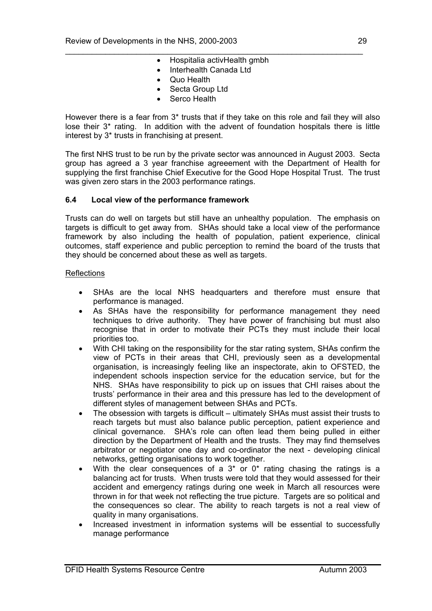- \_\_\_\_\_\_\_\_\_\_\_\_\_\_\_\_\_\_\_\_\_\_\_\_\_\_\_\_\_\_\_\_\_\_\_\_\_\_\_\_\_\_\_\_\_\_\_\_\_\_\_\_\_\_\_\_\_\_\_\_\_\_\_\_\_\_\_ • Hospitalia activHealth gmbh
	- Interhealth Canada Ltd
	- Quo Health
	- Secta Group Ltd
	- Serco Health

However there is a fear from 3\* trusts that if they take on this role and fail they will also lose their 3\* rating. In addition with the advent of foundation hospitals there is little interest by 3\* trusts in franchising at present.

The first NHS trust to be run by the private sector was announced in August 2003. Secta group has agreed a 3 year franchise agreeement with the Department of Health for supplying the first franchise Chief Executive for the Good Hope Hospital Trust. The trust was given zero stars in the 2003 performance ratings.

# **6.4 Local view of the performance framework**

Trusts can do well on targets but still have an unhealthy population. The emphasis on targets is difficult to get away from. SHAs should take a local view of the performance framework by also including the health of population, patient experience, clinical outcomes, staff experience and public perception to remind the board of the trusts that they should be concerned about these as well as targets.

#### **Reflections**

- SHAs are the local NHS headquarters and therefore must ensure that performance is managed.
- As SHAs have the responsibility for performance management they need techniques to drive authority. They have power of franchising but must also recognise that in order to motivate their PCTs they must include their local priorities too.
- With CHI taking on the responsibility for the star rating system, SHAs confirm the view of PCTs in their areas that CHI, previously seen as a developmental organisation, is increasingly feeling like an inspectorate, akin to OFSTED, the independent schools inspection service for the education service, but for the NHS. SHAs have responsibility to pick up on issues that CHI raises about the trusts' performance in their area and this pressure has led to the development of different styles of management between SHAs and PCTs.
- The obsession with targets is difficult ultimately SHAs must assist their trusts to reach targets but must also balance public perception, patient experience and clinical governance. SHA's role can often lead them being pulled in either direction by the Department of Health and the trusts. They may find themselves arbitrator or negotiator one day and co-ordinator the next - developing clinical networks, getting organisations to work together.
- With the clear consequences of a  $3*$  or  $0*$  rating chasing the ratings is a balancing act for trusts. When trusts were told that they would assessed for their accident and emergency ratings during one week in March all resources were thrown in for that week not reflecting the true picture. Targets are so political and the consequences so clear. The ability to reach targets is not a real view of quality in many organisations.
- Increased investment in information systems will be essential to successfully manage performance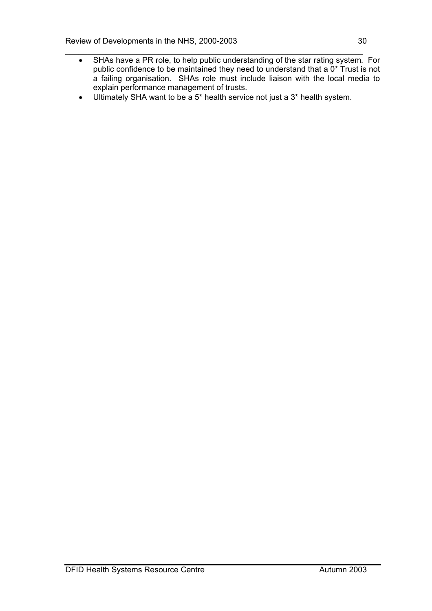- \_\_\_\_\_\_\_\_\_\_\_\_\_\_\_\_\_\_\_\_\_\_\_\_\_\_\_\_\_\_\_\_\_\_\_\_\_\_\_\_\_\_\_\_\_\_\_\_\_\_\_\_\_\_\_\_\_\_\_\_\_\_\_\_\_\_\_ • SHAs have a PR role, to help public understanding of the star rating system*.* For public confidence to be maintained they need to understand that a 0<sup>\*</sup> Trust is not a failing organisation. SHAs role must include liaison with the local media to explain performance management of trusts.
	- Ultimately SHA want to be a 5\* health service not just a 3\* health system.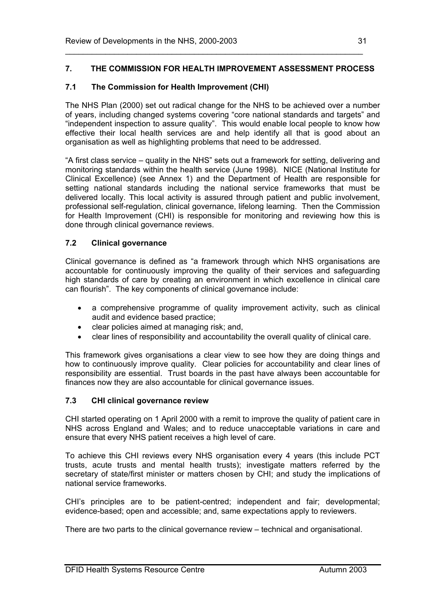# **7. THE COMMISSION FOR HEALTH IMPROVEMENT ASSESSMENT PROCESS**

\_\_\_\_\_\_\_\_\_\_\_\_\_\_\_\_\_\_\_\_\_\_\_\_\_\_\_\_\_\_\_\_\_\_\_\_\_\_\_\_\_\_\_\_\_\_\_\_\_\_\_\_\_\_\_\_\_\_\_\_\_\_\_\_\_\_\_

# **7.1 The Commission for Health Improvement (CHI)**

The NHS Plan (2000) set out radical change for the NHS to be achieved over a number of years, including changed systems covering "core national standards and targets" and "independent inspection to assure quality". This would enable local people to know how effective their local health services are and help identify all that is good about an organisation as well as highlighting problems that need to be addressed.

"A first class service – quality in the NHS" sets out a framework for setting, delivering and monitoring standards within the health service (June 1998). NICE (National Institute for Clinical Excellence) (see Annex 1) and the Department of Health are responsible for setting national standards including the national service frameworks that must be delivered locally. This local activity is assured through patient and public involvement, professional self-regulation, clinical governance, lifelong learning. Then the Commission for Health Improvement (CHI) is responsible for monitoring and reviewing how this is done through clinical governance reviews.

# **7.2 Clinical governance**

Clinical governance is defined as "a framework through which NHS organisations are accountable for continuously improving the quality of their services and safeguarding high standards of care by creating an environment in which excellence in clinical care can flourish". The key components of clinical governance include:

- a comprehensive programme of quality improvement activity, such as clinical audit and evidence based practice;
- clear policies aimed at managing risk; and,
- clear lines of responsibility and accountability the overall quality of clinical care.

This framework gives organisations a clear view to see how they are doing things and how to continuously improve quality. Clear policies for accountability and clear lines of responsibility are essential. Trust boards in the past have always been accountable for finances now they are also accountable for clinical governance issues.

# **7.3 CHI clinical governance review**

CHI started operating on 1 April 2000 with a remit to improve the quality of patient care in NHS across England and Wales; and to reduce unacceptable variations in care and ensure that every NHS patient receives a high level of care.

To achieve this CHI reviews every NHS organisation every 4 years (this include PCT trusts, acute trusts and mental health trusts); investigate matters referred by the secretary of state/first minister or matters chosen by CHI; and study the implications of national service frameworks.

CHI's principles are to be patient-centred; independent and fair; developmental; evidence-based; open and accessible; and, same expectations apply to reviewers.

There are two parts to the clinical governance review – technical and organisational.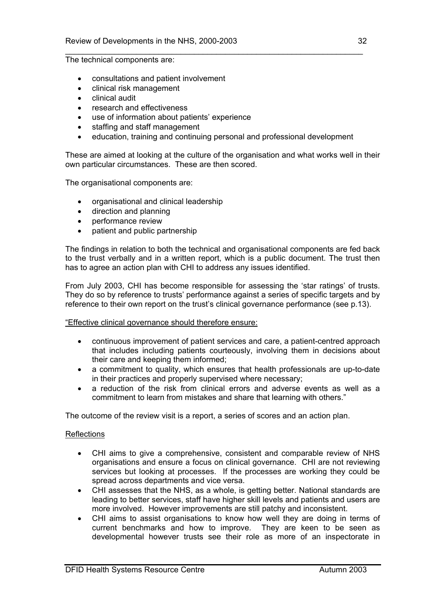The technical components are:

- consultations and patient involvement
- clinical risk management
- clinical audit
- research and effectiveness
- use of information about patients' experience
- staffing and staff management
- education, training and continuing personal and professional development

\_\_\_\_\_\_\_\_\_\_\_\_\_\_\_\_\_\_\_\_\_\_\_\_\_\_\_\_\_\_\_\_\_\_\_\_\_\_\_\_\_\_\_\_\_\_\_\_\_\_\_\_\_\_\_\_\_\_\_\_\_\_\_\_\_\_\_

These are aimed at looking at the culture of the organisation and what works well in their own particular circumstances. These are then scored.

The organisational components are:

- organisational and clinical leadership
- direction and planning
- performance review
- patient and public partnership

The findings in relation to both the technical and organisational components are fed back to the trust verbally and in a written report, which is a public document. The trust then has to agree an action plan with CHI to address any issues identified.

From July 2003, CHI has become responsible for assessing the 'star ratings' of trusts. They do so by reference to trusts' performance against a series of specific targets and by reference to their own report on the trust's clinical governance performance (see p.13).

#### "Effective clinical governance should therefore ensure:

- continuous improvement of patient services and care, a patient-centred approach that includes including patients courteously, involving them in decisions about their care and keeping them informed;
- a commitment to quality, which ensures that health professionals are up-to-date in their practices and properly supervised where necessary;
- a reduction of the risk from clinical errors and adverse events as well as a commitment to learn from mistakes and share that learning with others."

The outcome of the review visit is a report, a series of scores and an action plan.

#### **Reflections**

- CHI aims to give a comprehensive, consistent and comparable review of NHS organisations and ensure a focus on clinical governance. CHI are not reviewing services but looking at processes. If the processes are working they could be spread across departments and vice versa.
- CHI assesses that the NHS, as a whole, is getting better. National standards are leading to better services, staff have higher skill levels and patients and users are more involved. However improvements are still patchy and inconsistent.
- CHI aims to assist organisations to know how well they are doing in terms of current benchmarks and how to improve. They are keen to be seen as developmental however trusts see their role as more of an inspectorate in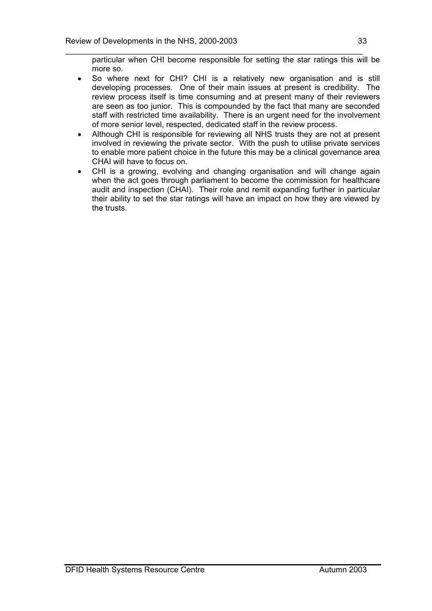particular when CHI become responsible for setting the star ratings this will be more so.

\_\_\_\_\_\_\_\_\_\_\_\_\_\_\_\_\_\_\_\_\_\_\_\_\_\_\_\_\_\_\_\_\_\_\_\_\_\_\_\_\_\_\_\_\_\_\_\_\_\_\_\_\_\_\_\_\_\_\_\_\_\_\_\_\_\_\_

- So where next for CHI? CHI is a relatively new organisation and is still developing processes. One of their main issues at present is credibility. The review process itself is time consuming and at present many of their reviewers are seen as too junior. This is compounded by the fact that many are seconded staff with restricted time availability. There is an urgent need for the involvement of more senior level, respected, dedicated staff in the review process.
- Although CHI is responsible for reviewing all NHS trusts they are not at present involved in reviewing the private sector. With the push to utilise private services to enable more patient choice in the future this may be a clinical governance area CHAI will have to focus on.
- CHI is a growing, evolving and changing organisation and will change again when the act goes through parliament to become the commission for healthcare audit and inspection (CHAI). Their role and remit expanding further in particular their ability to set the star ratings will have an impact on how they are viewed by the trusts.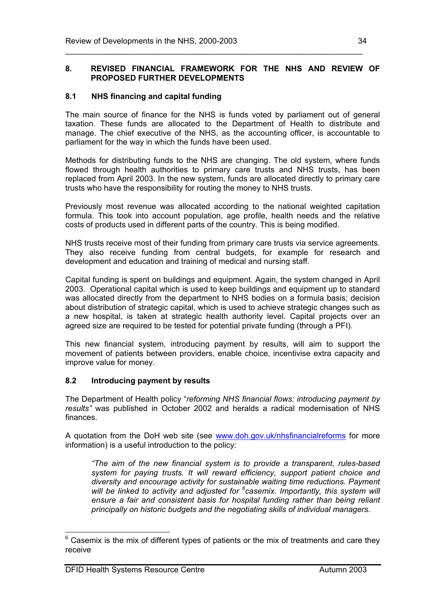#### **8. REVISED FINANCIAL FRAMEWORK FOR THE NHS AND REVIEW OF PROPOSED FURTHER DEVELOPMENTS**

\_\_\_\_\_\_\_\_\_\_\_\_\_\_\_\_\_\_\_\_\_\_\_\_\_\_\_\_\_\_\_\_\_\_\_\_\_\_\_\_\_\_\_\_\_\_\_\_\_\_\_\_\_\_\_\_\_\_\_\_\_\_\_\_\_\_\_

### **8.1 NHS financing and capital funding**

The main source of finance for the NHS is funds voted by parliament out of general taxation. These funds are allocated to the Department of Health to distribute and manage. The chief executive of the NHS, as the accounting officer, is accountable to parliament for the way in which the funds have been used.

Methods for distributing funds to the NHS are changing. The old system, where funds flowed through health authorities to primary care trusts and NHS trusts, has been replaced from April 2003. In the new system, funds are allocated directly to primary care trusts who have the responsibility for routing the money to NHS trusts.

Previously most revenue was allocated according to the national weighted capitation formula. This took into account population, age profile, health needs and the relative costs of products used in different parts of the country. This is being modified.

NHS trusts receive most of their funding from primary care trusts via service agreements. They also receive funding from central budgets, for example for research and development and education and training of medical and nursing staff.

Capital funding is spent on buildings and equipment. Again, the system changed in April 2003. Operational capital which is used to keep buildings and equipment up to standard was allocated directly from the department to NHS bodies on a formula basis; decision about distribution of strategic capital, which is used to achieve strategic changes such as a new hospital, is taken at strategic health authority level. Capital projects over an agreed size are required to be tested for potential private funding (through a PFI).

This new financial system, introducing payment by results, will aim to support the movement of patients between providers, enable choice, incentivise extra capacity and improve value for money.

#### **8.2 Introducing payment by results**

The Department of Health policy "*reforming NHS financial flows: introducing payment by results"* was published in October 2002 and heralds a radical modernisation of NHS finances.

A quotation from the DoH web site (see www.doh.gov.uk/nhsfinancialreforms for more information) is a useful introduction to the policy:

*"The aim of the new financial system is to provide a transparent, rules-based system for paying trusts. It will reward efficiency, support patient choice and diversity and encourage activity for sustainable waiting time reductions. Payment will be linked to activity and adjusted for <sup>6</sup> casemix. Importantly, this system will ensure a fair and consistent basis for hospital funding rather than being reliant principally on historic budgets and the negotiating skills of individual managers.* 

 $6$  Casemix is the mix of different types of patients or the mix of treatments and care they receive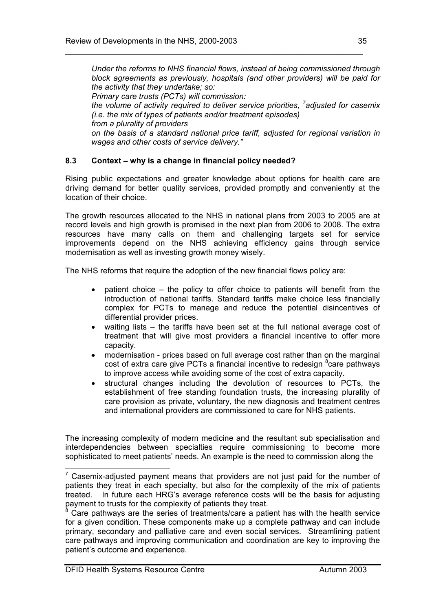*Under the reforms to NHS financial flows, instead of being commissioned through block agreements as previously, hospitals (and other providers) will be paid for the activity that they undertake; so: Primary care trusts (PCTs) will commission: the volume of activity required to deliver service priorities, <sup>7</sup> adjusted for casemix (i.e. the mix of types of patients and/or treatment episodes) from a plurality of providers on the basis of a standard national price tariff, adjusted for regional variation in wages and other costs of service delivery."* 

\_\_\_\_\_\_\_\_\_\_\_\_\_\_\_\_\_\_\_\_\_\_\_\_\_\_\_\_\_\_\_\_\_\_\_\_\_\_\_\_\_\_\_\_\_\_\_\_\_\_\_\_\_\_\_\_\_\_\_\_\_\_\_\_\_\_\_

# **8.3 Context – why is a change in financial policy needed?**

Rising public expectations and greater knowledge about options for health care are driving demand for better quality services, provided promptly and conveniently at the location of their choice.

The growth resources allocated to the NHS in national plans from 2003 to 2005 are at record levels and high growth is promised in the next plan from 2006 to 2008. The extra resources have many calls on them and challenging targets set for service improvements depend on the NHS achieving efficiency gains through service modernisation as well as investing growth money wisely.

The NHS reforms that require the adoption of the new financial flows policy are:

- patient choice the policy to offer choice to patients will benefit from the introduction of national tariffs. Standard tariffs make choice less financially complex for PCTs to manage and reduce the potential disincentives of differential provider prices.
- waiting lists the tariffs have been set at the full national average cost of treatment that will give most providers a financial incentive to offer more capacity.
- modernisation prices based on full average cost rather than on the marginal cost of extra care give PCTs a financial incentive to redesign  ${}^{8}$ care pathways to improve access while avoiding some of the cost of extra capacity.
- structural changes including the devolution of resources to PCTs, the establishment of free standing foundation trusts, the increasing plurality of care provision as private, voluntary, the new diagnosis and treatment centres and international providers are commissioned to care for NHS patients.

The increasing complexity of modern medicine and the resultant sub specialisation and interdependencies between specialties require commissioning to become more sophisticated to meet patients' needs. An example is the need to commission along the

 $7$  Casemix-adjusted payment means that providers are not just paid for the number of patients they treat in each specialty, but also for the complexity of the mix of patients treated. In future each HRG's average reference costs will be the basis for adjusting payment to trusts for the complexity of patients they treat.

<sup>8</sup> Care pathways are the series of treatments/care a patient has with the health service for a given condition. These components make up a complete pathway and can include primary, secondary and palliative care and even social services. Streamlining patient care pathways and improving communication and coordination are key to improving the patient's outcome and experience.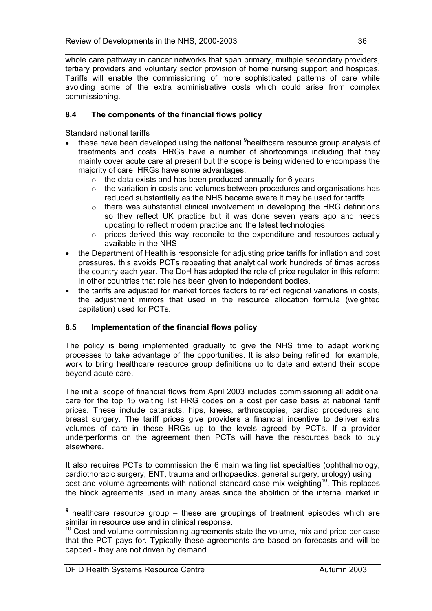\_\_\_\_\_\_\_\_\_\_\_\_\_\_\_\_\_\_\_\_\_\_\_\_\_\_\_\_\_\_\_\_\_\_\_\_\_\_\_\_\_\_\_\_\_\_\_\_\_\_\_\_\_\_\_\_\_\_\_\_\_\_\_\_\_\_\_ whole care pathway in cancer networks that span primary, multiple secondary providers, tertiary providers and voluntary sector provision of home nursing support and hospices. Tariffs will enable the commissioning of more sophisticated patterns of care while avoiding some of the extra administrative costs which could arise from complex commissioning.

# **8.4 The components of the financial flows policy**

Standard national tariffs

- these have been developed using the national <sup>9</sup>healthcare resource group analysis of treatments and costs. HRGs have a number of shortcomings including that they mainly cover acute care at present but the scope is being widened to encompass the majority of care. HRGs have some advantages:
	- $\circ$  the data exists and has been produced annually for 6 years
	- o the variation in costs and volumes between procedures and organisations has reduced substantially as the NHS became aware it may be used for tariffs
	- o there was substantial clinical involvement in developing the HRG definitions so they reflect UK practice but it was done seven years ago and needs updating to reflect modern practice and the latest technologies
	- $\circ$  prices derived this way reconcile to the expenditure and resources actually available in the NHS
- the Department of Health is responsible for adjusting price tariffs for inflation and cost pressures, this avoids PCTs repeating that analytical work hundreds of times across the country each year. The DoH has adopted the role of price regulator in this reform; in other countries that role has been given to independent bodies.
- the tariffs are adjusted for market forces factors to reflect regional variations in costs, the adjustment mirrors that used in the resource allocation formula (weighted capitation) used for PCTs.

# **8.5 Implementation of the financial flows policy**

The policy is being implemented gradually to give the NHS time to adapt working processes to take advantage of the opportunities. It is also being refined, for example, work to bring healthcare resource group definitions up to date and extend their scope beyond acute care.

The initial scope of financial flows from April 2003 includes commissioning all additional care for the top 15 waiting list HRG codes on a cost per case basis at national tariff prices. These include cataracts, hips, knees, arthroscopies, cardiac procedures and breast surgery. The tariff prices give providers a financial incentive to deliver extra volumes of care in these HRGs up to the levels agreed by PCTs. If a provider underperforms on the agreement then PCTs will have the resources back to buy elsewhere.

It also requires PCTs to commission the 6 main waiting list specialties (ophthalmology, cardiothoracic surgery, ENT, trauma and orthopaedics, general surgery, urology) using cost and volume agreements with national standard case mix weighting<sup>10</sup>. This replaces the block agreements used in many areas since the abolition of the internal market in

*<sup>9</sup>* healthcare resource group – these are groupings of treatment episodes which are similar in resource use and in clinical response.

 $10$  Cost and volume commissioning agreements state the volume, mix and price per case that the PCT pays for. Typically these agreements are based on forecasts and will be capped - they are not driven by demand.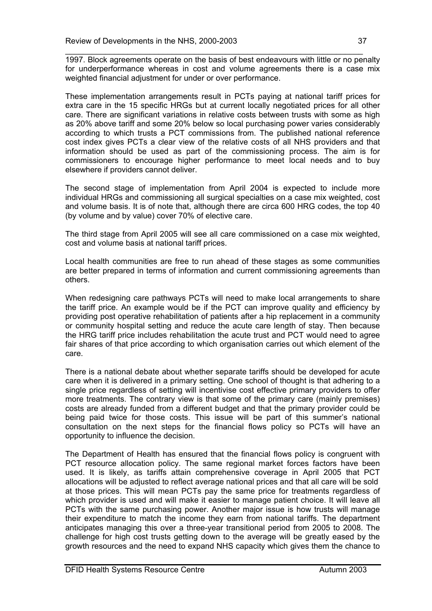\_\_\_\_\_\_\_\_\_\_\_\_\_\_\_\_\_\_\_\_\_\_\_\_\_\_\_\_\_\_\_\_\_\_\_\_\_\_\_\_\_\_\_\_\_\_\_\_\_\_\_\_\_\_\_\_\_\_\_\_\_\_\_\_\_\_\_ 1997. Block agreements operate on the basis of best endeavours with little or no penalty for underperformance whereas in cost and volume agreements there is a case mix weighted financial adjustment for under or over performance.

These implementation arrangements result in PCTs paying at national tariff prices for extra care in the 15 specific HRGs but at current locally negotiated prices for all other care. There are significant variations in relative costs between trusts with some as high as 20% above tariff and some 20% below so local purchasing power varies considerably according to which trusts a PCT commissions from. The published national reference cost index gives PCTs a clear view of the relative costs of all NHS providers and that information should be used as part of the commissioning process. The aim is for commissioners to encourage higher performance to meet local needs and to buy elsewhere if providers cannot deliver.

The second stage of implementation from April 2004 is expected to include more individual HRGs and commissioning all surgical specialties on a case mix weighted, cost and volume basis. It is of note that, although there are circa 600 HRG codes, the top 40 (by volume and by value) cover 70% of elective care.

The third stage from April 2005 will see all care commissioned on a case mix weighted, cost and volume basis at national tariff prices.

Local health communities are free to run ahead of these stages as some communities are better prepared in terms of information and current commissioning agreements than others.

When redesigning care pathways PCTs will need to make local arrangements to share the tariff price. An example would be if the PCT can improve quality and efficiency by providing post operative rehabilitation of patients after a hip replacement in a community or community hospital setting and reduce the acute care length of stay. Then because the HRG tariff price includes rehabilitation the acute trust and PCT would need to agree fair shares of that price according to which organisation carries out which element of the care.

There is a national debate about whether separate tariffs should be developed for acute care when it is delivered in a primary setting. One school of thought is that adhering to a single price regardless of setting will incentivise cost effective primary providers to offer more treatments. The contrary view is that some of the primary care (mainly premises) costs are already funded from a different budget and that the primary provider could be being paid twice for those costs. This issue will be part of this summer's national consultation on the next steps for the financial flows policy so PCTs will have an opportunity to influence the decision.

The Department of Health has ensured that the financial flows policy is congruent with PCT resource allocation policy. The same regional market forces factors have been used. It is likely, as tariffs attain comprehensive coverage in April 2005 that PCT allocations will be adjusted to reflect average national prices and that all care will be sold at those prices. This will mean PCTs pay the same price for treatments regardless of which provider is used and will make it easier to manage patient choice. It will leave all PCTs with the same purchasing power. Another major issue is how trusts will manage their expenditure to match the income they earn from national tariffs. The department anticipates managing this over a three-year transitional period from 2005 to 2008. The challenge for high cost trusts getting down to the average will be greatly eased by the growth resources and the need to expand NHS capacity which gives them the chance to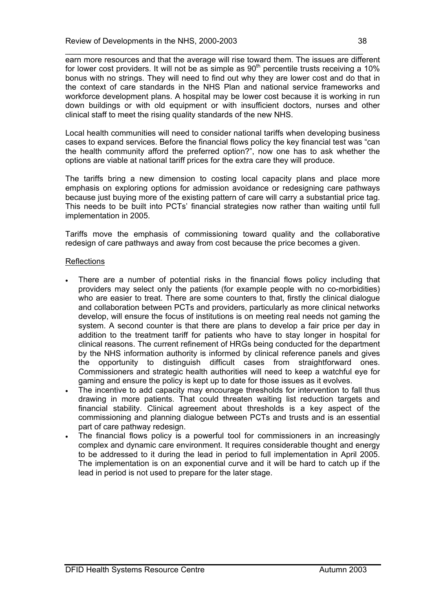\_\_\_\_\_\_\_\_\_\_\_\_\_\_\_\_\_\_\_\_\_\_\_\_\_\_\_\_\_\_\_\_\_\_\_\_\_\_\_\_\_\_\_\_\_\_\_\_\_\_\_\_\_\_\_\_\_\_\_\_\_\_\_\_\_\_\_ earn more resources and that the average will rise toward them. The issues are different for lower cost providers. It will not be as simple as  $90<sup>th</sup>$  percentile trusts receiving a 10% bonus with no strings. They will need to find out why they are lower cost and do that in the context of care standards in the NHS Plan and national service frameworks and workforce development plans. A hospital may be lower cost because it is working in run down buildings or with old equipment or with insufficient doctors, nurses and other clinical staff to meet the rising quality standards of the new NHS.

Local health communities will need to consider national tariffs when developing business cases to expand services. Before the financial flows policy the key financial test was "can the health community afford the preferred option?", now one has to ask whether the options are viable at national tariff prices for the extra care they will produce.

The tariffs bring a new dimension to costing local capacity plans and place more emphasis on exploring options for admission avoidance or redesigning care pathways because just buying more of the existing pattern of care will carry a substantial price tag. This needs to be built into PCTs' financial strategies now rather than waiting until full implementation in 2005.

Tariffs move the emphasis of commissioning toward quality and the collaborative redesign of care pathways and away from cost because the price becomes a given.

#### Reflections

- There are a number of potential risks in the financial flows policy including that providers may select only the patients (for example people with no co-morbidities) who are easier to treat. There are some counters to that, firstly the clinical dialogue and collaboration between PCTs and providers, particularly as more clinical networks develop, will ensure the focus of institutions is on meeting real needs not gaming the system. A second counter is that there are plans to develop a fair price per day in addition to the treatment tariff for patients who have to stay longer in hospital for clinical reasons. The current refinement of HRGs being conducted for the department by the NHS information authority is informed by clinical reference panels and gives the opportunity to distinguish difficult cases from straightforward ones. Commissioners and strategic health authorities will need to keep a watchful eye for gaming and ensure the policy is kept up to date for those issues as it evolves.
- The incentive to add capacity may encourage thresholds for intervention to fall thus drawing in more patients. That could threaten waiting list reduction targets and financial stability. Clinical agreement about thresholds is a key aspect of the commissioning and planning dialogue between PCTs and trusts and is an essential part of care pathway redesign.
- The financial flows policy is a powerful tool for commissioners in an increasingly complex and dynamic care environment. It requires considerable thought and energy to be addressed to it during the lead in period to full implementation in April 2005. The implementation is on an exponential curve and it will be hard to catch up if the lead in period is not used to prepare for the later stage.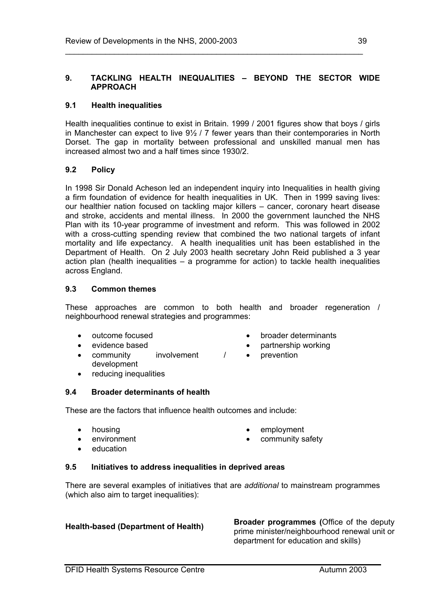#### **9. TACKLING HEALTH INEQUALITIES – BEYOND THE SECTOR WIDE APPROACH**

\_\_\_\_\_\_\_\_\_\_\_\_\_\_\_\_\_\_\_\_\_\_\_\_\_\_\_\_\_\_\_\_\_\_\_\_\_\_\_\_\_\_\_\_\_\_\_\_\_\_\_\_\_\_\_\_\_\_\_\_\_\_\_\_\_\_\_

#### **9.1 Health inequalities**

Health inequalities continue to exist in Britain. 1999 / 2001 figures show that boys / girls in Manchester can expect to live 9½ / 7 fewer years than their contemporaries in North Dorset. The gap in mortality between professional and unskilled manual men has increased almost two and a half times since 1930/2.

#### **9.2 Policy**

In 1998 Sir Donald Acheson led an independent inquiry into Inequalities in health giving a firm foundation of evidence for health inequalities in UK. Then in 1999 saving lives: our healthier nation focused on tackling major killers – cancer, coronary heart disease and stroke, accidents and mental illness. In 2000 the government launched the NHS Plan with its 10-year programme of investment and reform. This was followed in 2002 with a cross-cutting spending review that combined the two national targets of infant mortality and life expectancy. A health inequalities unit has been established in the Department of Health. On 2 July 2003 health secretary John Reid published a 3 year action plan (health inequalities – a programme for action) to tackle health inequalities across England.

#### **9.3 Common themes**

These approaches are common to both health and broader regeneration / neighbourhood renewal strategies and programmes:

- outcome focused
- evidence based
- community involvement / development
- reducing inequalities

#### **9.4 Broader determinants of health**

These are the factors that influence health outcomes and include:

- housing
- environment

• employment

• prevention

community safety

• broader determinants • partnership working

education

#### **9.5 Initiatives to address inequalities in deprived areas**

There are several examples of initiatives that are *additional* to mainstream programmes (which also aim to target inequalities):

**Health-based (Department of Health) Broader programmes (**Office of the deputy prime minister/neighbourhood renewal unit or department for education and skills)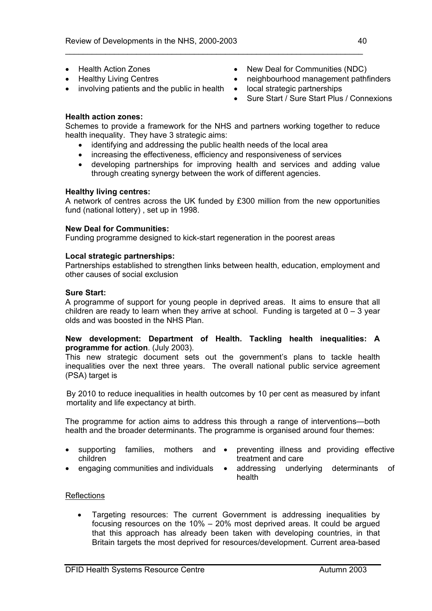- Health Action Zones
- Healthy Living Centres
- involving patients and the public in health local strategic partnerships
- New Deal for Communities (NDC)
- neighbourhood management pathfinders
	-
	- Sure Start / Sure Start Plus / Connexions

### **Health action zones:**

Schemes to provide a framework for the NHS and partners working together to reduce health inequality. They have 3 strategic aims:

\_\_\_\_\_\_\_\_\_\_\_\_\_\_\_\_\_\_\_\_\_\_\_\_\_\_\_\_\_\_\_\_\_\_\_\_\_\_\_\_\_\_\_\_\_\_\_\_\_\_\_\_\_\_\_\_\_\_\_\_\_\_\_\_\_\_\_

- identifying and addressing the public health needs of the local area
- increasing the effectiveness, efficiency and responsiveness of services
- developing partnerships for improving health and services and adding value through creating synergy between the work of different agencies.

#### **Healthy living centres:**

A network of centres across the UK funded by £300 million from the new opportunities fund (national lottery) , set up in 1998.

# **New Deal for Communities:**

Funding programme designed to kick-start regeneration in the poorest areas

# **Local strategic partnerships:**

Partnerships established to strengthen links between health, education, employment and other causes of social exclusion

#### **Sure Start:**

A programme of support for young people in deprived areas. It aims to ensure that all children are ready to learn when they arrive at school. Funding is targeted at  $0 - 3$  year olds and was boosted in the NHS Plan.

#### **New development: Department of Health. Tackling health inequalities: A programme for action**. (July 2003).

This new strategic document sets out the government's plans to tackle health inequalities over the next three years. The overall national public service agreement (PSA) target is

By 2010 to reduce inequalities in health outcomes by 10 per cent as measured by infant mortality and life expectancy at birth.

The programme for action aims to address this through a range of interventions—both health and the broader determinants. The programme is organised around four themes:

- children
- supporting families, mothers and preventing illness and providing effective treatment and care
- 
- engaging communities and individuals addressing underlying determinants of health

#### **Reflections**

• Targeting resources: The current Government is addressing inequalities by focusing resources on the 10% – 20% most deprived areas. It could be argued that this approach has already been taken with developing countries, in that Britain targets the most deprived for resources/development. Current area-based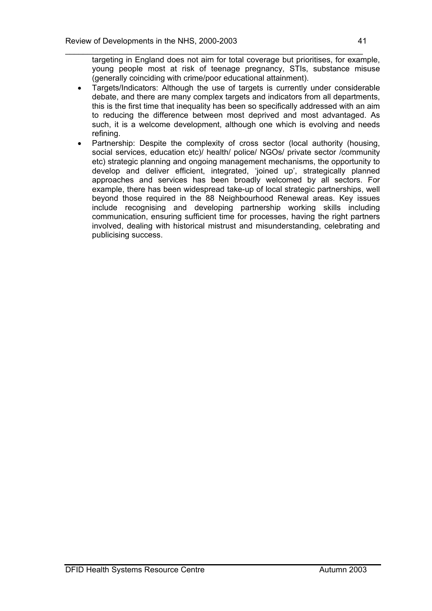\_\_\_\_\_\_\_\_\_\_\_\_\_\_\_\_\_\_\_\_\_\_\_\_\_\_\_\_\_\_\_\_\_\_\_\_\_\_\_\_\_\_\_\_\_\_\_\_\_\_\_\_\_\_\_\_\_\_\_\_\_\_\_\_\_\_\_ targeting in England does not aim for total coverage but prioritises, for example, young people most at risk of teenage pregnancy, STIs, substance misuse (generally coinciding with crime/poor educational attainment).

- Targets/Indicators: Although the use of targets is currently under considerable debate, and there are many complex targets and indicators from all departments, this is the first time that inequality has been so specifically addressed with an aim to reducing the difference between most deprived and most advantaged. As such, it is a welcome development, although one which is evolving and needs refining.
- Partnership: Despite the complexity of cross sector (local authority (housing, social services, education etc)/ health/ police/ NGOs/ private sector /community etc) strategic planning and ongoing management mechanisms, the opportunity to develop and deliver efficient, integrated, 'joined up', strategically planned approaches and services has been broadly welcomed by all sectors. For example, there has been widespread take-up of local strategic partnerships, well beyond those required in the 88 Neighbourhood Renewal areas. Key issues include recognising and developing partnership working skills including communication, ensuring sufficient time for processes, having the right partners involved, dealing with historical mistrust and misunderstanding, celebrating and publicising success.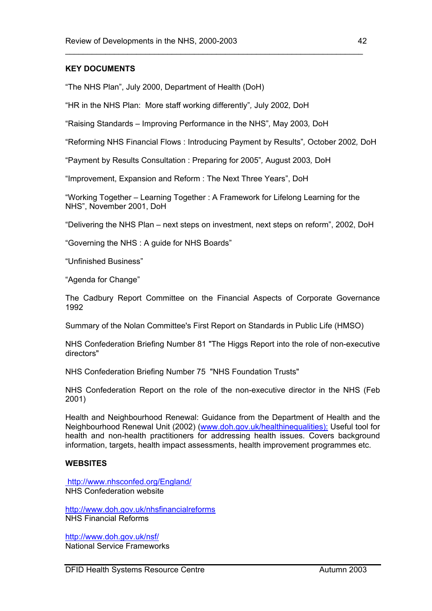### **KEY DOCUMENTS**

"The NHS Plan", July 2000, Department of Health (DoH)

"HR in the NHS Plan: More staff working differently"*,* July 2002*,* DoH

"Raising Standards – Improving Performance in the NHS"*,* May 2003*,* DoH

"Reforming NHS Financial Flows : Introducing Payment by Results"*,* October 2002*,* DoH

"Payment by Results Consultation : Preparing for 2005"*,* August 2003*,* DoH

"Improvement, Expansion and Reform : The Next Three Years", DoH

"Working Together – Learning Together : A Framework for Lifelong Learning for the NHS", November 2001, DoH

"Delivering the NHS Plan – next steps on investment, next steps on reform", 2002, DoH

"Governing the NHS : A guide for NHS Boards"

"Unfinished Business"

"Agenda for Change"

The Cadbury Report Committee on the Financial Aspects of Corporate Governance 1992

Summary of the Nolan Committee's First Report on Standards in Public Life (HMSO)

NHS Confederation Briefing Number 81 "The Higgs Report into the role of non-executive directors"

NHS Confederation Briefing Number 75 "NHS Foundation Trusts"

NHS Confederation Report on the role of the non-executive director in the NHS (Feb 2001)

Health and Neighbourhood Renewal: Guidance from the Department of Health and the Neighbourhood Renewal Unit (2002) (www.doh.gov.uk/healthinequalities): Useful tool for health and non-health practitioners for addressing health issues. Covers background information, targets, health impact assessments, health improvement programmes etc.

#### **WEBSITES**

 http://www.nhsconfed.org/England/ NHS Confederation website

http://www.doh.gov.uk/nhsfinancialreforms NHS Financial Reforms

http://www.doh.gov.uk/nsf/ National Service Frameworks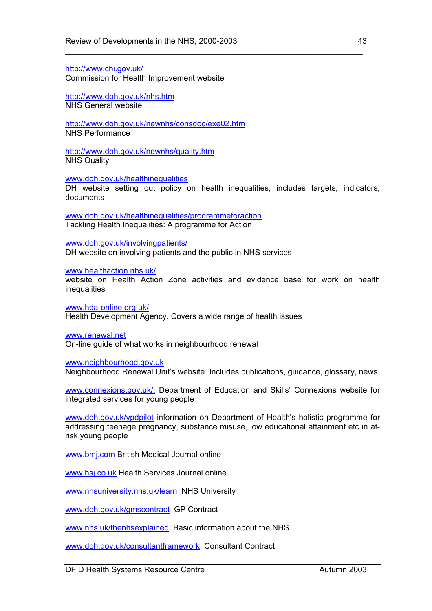http://www.chi.gov.uk/ Commission for Health Improvement website

http://www.doh.gov.uk/nhs.htm NHS General website

http://www.doh.gov.uk/newnhs/consdoc/exe02.htm NHS Performance

http://www.doh.gov.uk/newnhs/quality.htm NHS Quality

www.doh.gov.uk/healthinequalities

DH website setting out policy on health inequalities, includes targets, indicators, documents

\_\_\_\_\_\_\_\_\_\_\_\_\_\_\_\_\_\_\_\_\_\_\_\_\_\_\_\_\_\_\_\_\_\_\_\_\_\_\_\_\_\_\_\_\_\_\_\_\_\_\_\_\_\_\_\_\_\_\_\_\_\_\_\_\_\_\_

www.doh.gov.uk/healthinequalities/programmeforaction Tackling Health Inequalities: A programme for Action

www.doh.gov.uk/involvingpatients/ DH website on involving patients and the public in NHS services

www.healthaction.nhs.uk/

website on Health Action Zone activities and evidence base for work on health **inequalities** 

www.hda-online.org.uk/ Health Development Agency. Covers a wide range of health issues

www.renewal.net

On-line guide of what works in neighbourhood renewal

www.neighbourhood.gov.uk

Neighbourhood Renewal Unit's website. Includes publications, guidance, glossary, news

www.connexions.gov.uk/: Department of Education and Skills' Connexions website for integrated services for young people

www.doh.gov.uk/ypdpilot information on Department of Health's holistic programme for addressing teenage pregnancy, substance misuse, low educational attainment etc in atrisk young people

www.bmj.com British Medical Journal online

www.hsj.co.uk Health Services Journal online

www.nhsuniversity.nhs.uk/learn NHS University

www.doh.gov.uk/gmscontract GP Contract

www.nhs.uk/thenhsexplained Basic information about the NHS

www.doh.gov.uk/consultantframework Consultant Contract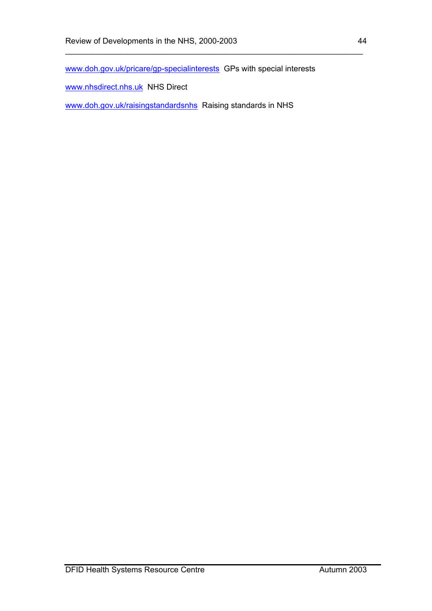www.doh.gov.uk/pricare/gp-specialinterests GPs with special interests

\_\_\_\_\_\_\_\_\_\_\_\_\_\_\_\_\_\_\_\_\_\_\_\_\_\_\_\_\_\_\_\_\_\_\_\_\_\_\_\_\_\_\_\_\_\_\_\_\_\_\_\_\_\_\_\_\_\_\_\_\_\_\_\_\_\_\_

www.nhsdirect.nhs.uk NHS Direct

www.doh.gov.uk/raisingstandardsnhs Raising standards in NHS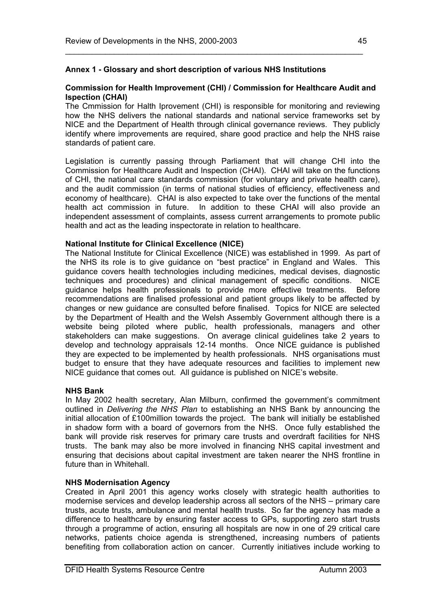# **Annex 1 - Glossary and short description of various NHS Institutions**

#### **Commission for Health Improvement (CHI) / Commission for Healthcare Audit and Ispection (CHAI)**

\_\_\_\_\_\_\_\_\_\_\_\_\_\_\_\_\_\_\_\_\_\_\_\_\_\_\_\_\_\_\_\_\_\_\_\_\_\_\_\_\_\_\_\_\_\_\_\_\_\_\_\_\_\_\_\_\_\_\_\_\_\_\_\_\_\_\_

The Cmmission for Halth Iprovement (CHI) is responsible for monitoring and reviewing how the NHS delivers the national standards and national service frameworks set by NICE and the Department of Health through clinical governance reviews. They publicly identify where improvements are required, share good practice and help the NHS raise standards of patient care.

Legislation is currently passing through Parliament that will change CHI into the Commission for Healthcare Audit and Inspection (CHAI). CHAI will take on the functions of CHI, the national care standards commission (for voluntary and private health care), and the audit commission (in terms of national studies of efficiency, effectiveness and economy of healthcare). CHAI is also expected to take over the functions of the mental health act commission in future. In addition to these CHAI will also provide an independent assessment of complaints, assess current arrangements to promote public health and act as the leading inspectorate in relation to healthcare.

#### **National Institute for Clinical Excellence (NICE)**

The National Institute for Clinical Excellence (NICE) was established in 1999. As part of the NHS its role is to give guidance on "best practice" in England and Wales. This guidance covers health technologies including medicines, medical devises, diagnostic techniques and procedures) and clinical management of specific conditions. NICE guidance helps health professionals to provide more effective treatments. Before recommendations are finalised professional and patient groups likely to be affected by changes or new guidance are consulted before finalised. Topics for NICE are selected by the Department of Health and the Welsh Assembly Government although there is a website being piloted where public, health professionals, managers and other stakeholders can make suggestions. On average clinical guidelines take 2 years to develop and technology appraisals 12-14 months. Once NICE guidance is published they are expected to be implemented by health professionals. NHS organisations must budget to ensure that they have adequate resources and facilities to implement new NICE guidance that comes out. All guidance is published on NICE's website.

#### **NHS Bank**

In May 2002 health secretary, Alan Milburn, confirmed the government's commitment outlined in *Delivering the NHS Plan* to establishing an NHS Bank by announcing the initial allocation of £100million towards the project. The bank will initially be established in shadow form with a board of governors from the NHS. Once fully established the bank will provide risk reserves for primary care trusts and overdraft facilities for NHS trusts. The bank may also be more involved in financing NHS capital investment and ensuring that decisions about capital investment are taken nearer the NHS frontline in future than in Whitehall.

#### **NHS Modernisation Agency**

Created in April 2001 this agency works closely with strategic health authorities to modernise services and develop leadership across all sectors of the NHS – primary care trusts, acute trusts, ambulance and mental health trusts. So far the agency has made a difference to healthcare by ensuring faster access to GPs, supporting zero start trusts through a programme of action, ensuring all hospitals are now in one of 29 critical care networks, patients choice agenda is strengthened, increasing numbers of patients benefiting from collaboration action on cancer. Currently initiatives include working to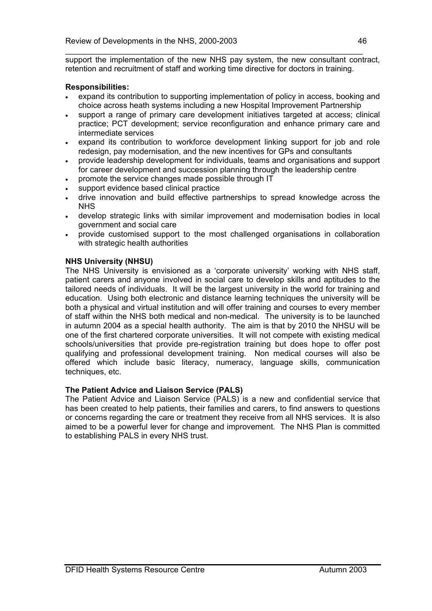\_\_\_\_\_\_\_\_\_\_\_\_\_\_\_\_\_\_\_\_\_\_\_\_\_\_\_\_\_\_\_\_\_\_\_\_\_\_\_\_\_\_\_\_\_\_\_\_\_\_\_\_\_\_\_\_\_\_\_\_\_\_\_\_\_\_\_ support the implementation of the new NHS pay system, the new consultant contract, retention and recruitment of staff and working time directive for doctors in training.

# **Responsibilities:**

- expand its contribution to supporting implementation of policy in access, booking and choice across heath systems including a new Hospital Improvement Partnership
- support a range of primary care development initiatives targeted at access; clinical practice; PCT development; service reconfiguration and enhance primary care and intermediate services
- expand its contribution to workforce development linking support for job and role redesign, pay modernisation, and the new incentives for GPs and consultants
- provide leadership development for individuals, teams and organisations and support for career development and succession planning through the leadership centre
- promote the service changes made possible through IT
- support evidence based clinical practice
- drive innovation and build effective partnerships to spread knowledge across the **NHS**
- develop strategic links with similar improvement and modernisation bodies in local government and social care
- provide customised support to the most challenged organisations in collaboration with strategic health authorities

# **NHS University (NHSU)**

The NHS University is envisioned as a 'corporate university' working with NHS staff, patient carers and anyone involved in social care to develop skills and aptitudes to the tailored needs of individuals. It will be the largest university in the world for training and education. Using both electronic and distance learning techniques the university will be both a physical and virtual institution and will offer training and courses to every member of staff within the NHS both medical and non-medical. The university is to be launched in autumn 2004 as a special health authority. The aim is that by 2010 the NHSU will be one of the first chartered corporate universities. It will not compete with existing medical schools/universities that provide pre-registration training but does hope to offer post qualifying and professional development training. Non medical courses will also be offered which include basic literacy, numeracy, language skills, communication techniques, etc.

# **The Patient Advice and Liaison Service (PALS)**

The Patient Advice and Liaison Service (PALS) is a new and confidential service that has been created to help patients, their families and carers, to find answers to questions or concerns regarding the care or treatment they receive from all NHS services. It is also aimed to be a powerful lever for change and improvement. The NHS Plan is committed to establishing PALS in every NHS trust.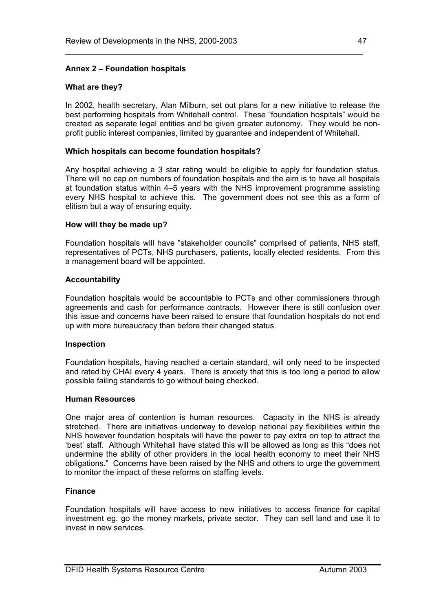# **Annex 2 – Foundation hospitals**

#### **What are they?**

In 2002, health secretary, Alan Milburn, set out plans for a new initiative to release the best performing hospitals from Whitehall control. These "foundation hospitals" would be created as separate legal entities and be given greater autonomy. They would be nonprofit public interest companies, limited by guarantee and independent of Whitehall.

\_\_\_\_\_\_\_\_\_\_\_\_\_\_\_\_\_\_\_\_\_\_\_\_\_\_\_\_\_\_\_\_\_\_\_\_\_\_\_\_\_\_\_\_\_\_\_\_\_\_\_\_\_\_\_\_\_\_\_\_\_\_\_\_\_\_\_

#### **Which hospitals can become foundation hospitals?**

Any hospital achieving a 3 star rating would be eligible to apply for foundation status. There will no cap on numbers of foundation hospitals and the aim is to have all hospitals at foundation status within 4–5 years with the NHS improvement programme assisting every NHS hospital to achieve this. The government does not see this as a form of elitism but a way of ensuring equity.

#### **How will they be made up?**

Foundation hospitals will have "stakeholder councils" comprised of patients, NHS staff, representatives of PCTs, NHS purchasers, patients, locally elected residents. From this a management board will be appointed.

#### **Accountability**

Foundation hospitals would be accountable to PCTs and other commissioners through agreements and cash for performance contracts. However there is still confusion over this issue and concerns have been raised to ensure that foundation hospitals do not end up with more bureaucracy than before their changed status.

#### **Inspection**

Foundation hospitals, having reached a certain standard, will only need to be inspected and rated by CHAI every 4 years. There is anxiety that this is too long a period to allow possible failing standards to go without being checked.

#### **Human Resources**

One major area of contention is human resources. Capacity in the NHS is already stretched. There are initiatives underway to develop national pay flexibilities within the NHS however foundation hospitals will have the power to pay extra on top to attract the 'best' staff. Although Whitehall have stated this will be allowed as long as this "does not undermine the ability of other providers in the local health economy to meet their NHS obligations." Concerns have been raised by the NHS and others to urge the government to monitor the impact of these reforms on staffing levels.

#### **Finance**

Foundation hospitals will have access to new initiatives to access finance for capital investment eg. go the money markets, private sector. They can sell land and use it to invest in new services.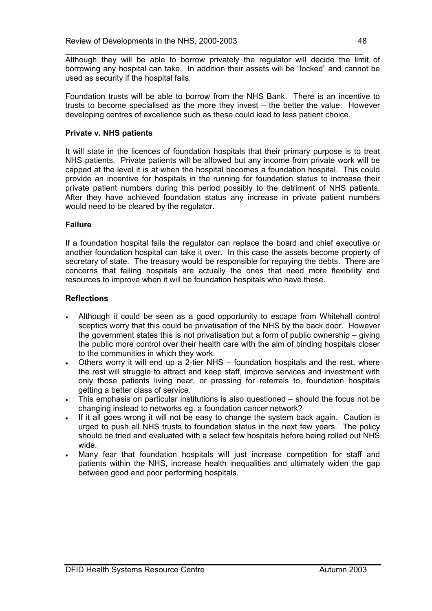\_\_\_\_\_\_\_\_\_\_\_\_\_\_\_\_\_\_\_\_\_\_\_\_\_\_\_\_\_\_\_\_\_\_\_\_\_\_\_\_\_\_\_\_\_\_\_\_\_\_\_\_\_\_\_\_\_\_\_\_\_\_\_\_\_\_\_ Although they will be able to borrow privately the regulator will decide the limit of borrowing any hospital can take. In addition their assets will be "locked" and cannot be used as security if the hospital fails.

Foundation trusts will be able to borrow from the NHS Bank. There is an incentive to trusts to become specialised as the more they invest – the better the value. However developing centres of excellence such as these could lead to less patient choice.

# **Private v. NHS patients**

It will state in the licences of foundation hospitals that their primary purpose is to treat NHS patients. Private patients will be allowed but any income from private work will be capped at the level it is at when the hospital becomes a foundation hospital. This could provide an incentive for hospitals in the running for foundation status to increase their private patient numbers during this period possibly to the detriment of NHS patients. After they have achieved foundation status any increase in private patient numbers would need to be cleared by the regulator.

# **Failure**

If a foundation hospital fails the regulator can replace the board and chief executive or another foundation hospital can take it over. In this case the assets become property of secretary of state. The treasury would be responsible for repaying the debts. There are concerns that failing hospitals are actually the ones that need more flexibility and resources to improve when it will be foundation hospitals who have these.

# **Reflections**

- Although it could be seen as a good opportunity to escape from Whitehall control sceptics worry that this could be privatisation of the NHS by the back door. However the government states this is not privatisation but a form of public ownership – giving the public more control over their health care with the aim of binding hospitals closer to the communities in which they work.
- Others worry it will end up a 2-tier NHS foundation hospitals and the rest, where the rest will struggle to attract and keep staff, improve services and investment with only those patients living near, or pressing for referrals to, foundation hospitals getting a better class of service.
- This emphasis on particular institutions is also questioned should the focus not be changing instead to networks eg. a foundation cancer network?
- If it all goes wrong it will not be easy to change the system back again. Caution is urged to push all NHS trusts to foundation status in the next few years. The policy should be tried and evaluated with a select few hospitals before being rolled out NHS wide.
- Many fear that foundation hospitals will just increase competition for staff and patients within the NHS, increase health inequalities and ultimately widen the gap between good and poor performing hospitals.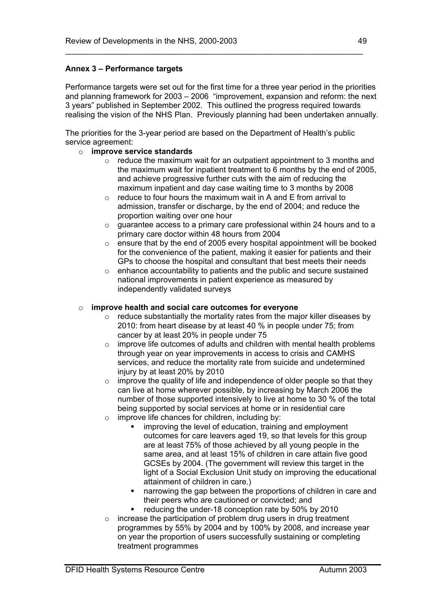# **Annex 3 – Performance targets**

Performance targets were set out for the first time for a three year period in the priorities and planning framework for 2003 – 2006 "improvement, expansion and reform: the next 3 years" published in September 2002. This outlined the progress required towards realising the vision of the NHS Plan. Previously planning had been undertaken annually.

\_\_\_\_\_\_\_\_\_\_\_\_\_\_\_\_\_\_\_\_\_\_\_\_\_\_\_\_\_\_\_\_\_\_\_\_\_\_\_\_\_\_\_\_\_\_\_\_\_\_\_\_\_\_\_\_\_\_\_\_\_\_\_\_\_\_\_

The priorities for the 3-year period are based on the Department of Health's public service agreement:

### o **improve service standards**

- $\circ$  reduce the maximum wait for an outpatient appointment to 3 months and the maximum wait for inpatient treatment to 6 months by the end of 2005, and achieve progressive further cuts with the aim of reducing the maximum inpatient and day case waiting time to 3 months by 2008
- $\circ$  reduce to four hours the maximum wait in A and E from arrival to admission, transfer or discharge, by the end of 2004; and reduce the proportion waiting over one hour
- o guarantee access to a primary care professional within 24 hours and to a primary care doctor within 48 hours from 2004
- o ensure that by the end of 2005 every hospital appointment will be booked for the convenience of the patient, making it easier for patients and their GPs to choose the hospital and consultant that best meets their needs
- $\circ$  enhance accountability to patients and the public and secure sustained national improvements in patient experience as measured by independently validated surveys

### o **improve health and social care outcomes for everyone**

- $\circ$  reduce substantially the mortality rates from the major killer diseases by 2010: from heart disease by at least 40 % in people under 75; from cancer by at least 20% in people under 75
- $\circ$  improve life outcomes of adults and children with mental health problems through year on year improvements in access to crisis and CAMHS services, and reduce the mortality rate from suicide and undetermined injury by at least 20% by 2010
- $\circ$  improve the quality of life and independence of older people so that they can live at home wherever possible, by increasing by March 2006 the number of those supported intensively to live at home to 30 % of the total being supported by social services at home or in residential care
- $\circ$  improve life chances for children, including by:
	- improving the level of education, training and employment outcomes for care leavers aged 19, so that levels for this group are at least 75% of those achieved by all young people in the same area, and at least 15% of children in care attain five good GCSEs by 2004. (The government will review this target in the light of a Social Exclusion Unit study on improving the educational attainment of children in care.)
	- narrowing the gap between the proportions of children in care and their peers who are cautioned or convicted; and
	- reducing the under-18 conception rate by 50% by 2010
- $\circ$  increase the participation of problem drug users in drug treatment programmes by 55% by 2004 and by 100% by 2008, and increase year on year the proportion of users successfully sustaining or completing treatment programmes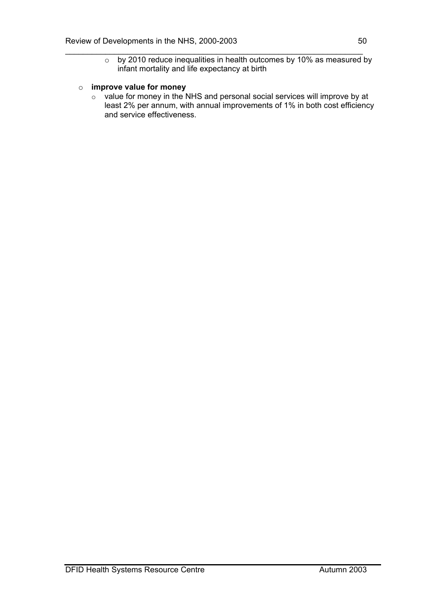$\circ$  by 2010 reduce inequalities in health outcomes by 10% as measured by infant mortality and life expectancy at birth

\_\_\_\_\_\_\_\_\_\_\_\_\_\_\_\_\_\_\_\_\_\_\_\_\_\_\_\_\_\_\_\_\_\_\_\_\_\_\_\_\_\_\_\_\_\_\_\_\_\_\_\_\_\_\_\_\_\_\_\_\_\_\_\_\_\_\_

# o **improve value for money**

o value for money in the NHS and personal social services will improve by at least 2% per annum, with annual improvements of 1% in both cost efficiency and service effectiveness.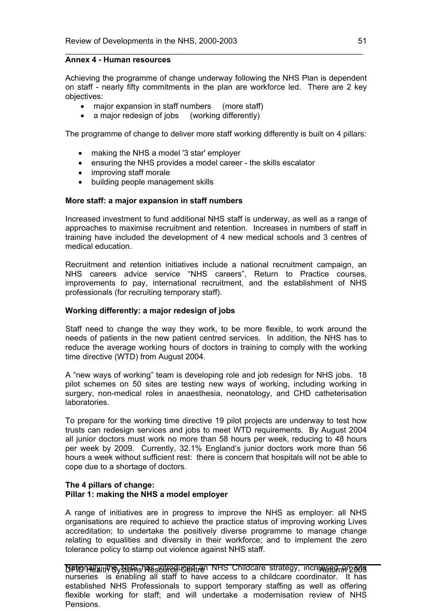#### **Annex 4 - Human resources**

Achieving the programme of change underway following the NHS Plan is dependent on staff - nearly fifty commitments in the plan are workforce led. There are 2 key objectives:

\_\_\_\_\_\_\_\_\_\_\_\_\_\_\_\_\_\_\_\_\_\_\_\_\_\_\_\_\_\_\_\_\_\_\_\_\_\_\_\_\_\_\_\_\_\_\_\_\_\_\_\_\_\_\_\_\_\_\_\_\_\_\_\_\_\_\_

- major expansion in staff numbers (more staff)
- a major redesign of jobs (working differently)

The programme of change to deliver more staff working differently is built on 4 pillars:

- making the NHS a model '3 star' employer
- ensuring the NHS provides a model career the skills escalator
- improving staff morale
- building people management skills

#### **More staff: a major expansion in staff numbers**

Increased investment to fund additional NHS staff is underway, as well as a range of approaches to maximise recruitment and retention. Increases in numbers of staff in training have included the development of 4 new medical schools and 3 centres of medical education.

Recruitment and retention initiatives include a national recruitment campaign, an NHS careers advice service "NHS careers", Return to Practice courses, improvements to pay, international recruitment, and the establishment of NHS professionals (for recruiting temporary staff).

#### **Working differently: a major redesign of jobs**

Staff need to change the way they work, to be more flexible, to work around the needs of patients in the new patient centred services. In addition, the NHS has to reduce the average working hours of doctors in training to comply with the working time directive (WTD) from August 2004.

A "new ways of working" team is developing role and job redesign for NHS jobs. 18 pilot schemes on 50 sites are testing new ways of working, including working in surgery, non-medical roles in anaesthesia, neonatology, and CHD catheterisation laboratories.

To prepare for the working time directive 19 pilot projects are underway to test how trusts can redesign services and jobs to meet WTD requirements. By August 2004 all junior doctors must work no more than 58 hours per week, reducing to 48 hours per week by 2009. Currently, 32.1% England's junior doctors work more than 56 hours a week without sufficient rest: there is concern that hospitals will not be able to cope due to a shortage of doctors.

#### **The 4 pillars of change: Pillar 1: making the NHS a model employer**

A range of initiatives are in progress to improve the NHS as employer: all NHS organisations are required to achieve the practice status of improving working Lives accreditation; to undertake the positively diverse programme to manage change relating to equalities and diversity in their workforce; and to implement the zero tolerance policy to stamp out violence against NHS staff.

**Dationally introvertions resource Centre Autumn 2003** Childcare strategy, increased an 2003 nurseries is enabling all staff to have access to a childcare coordinator. It has established NHS Professionals to support temporary staffing as well as offering flexible working for staff; and will undertake a modernisation review of NHS Pensions.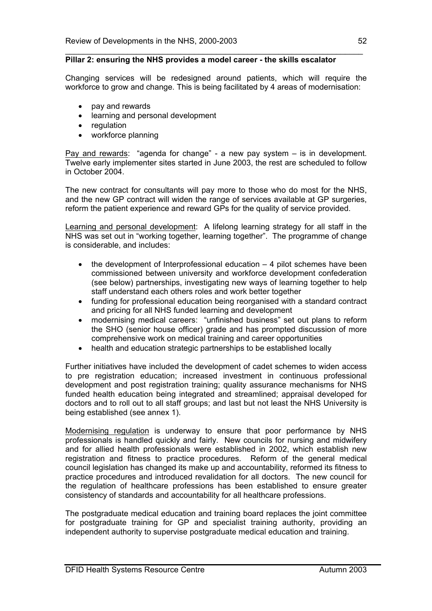#### **Pillar 2: ensuring the NHS provides a model career - the skills escalator**

Changing services will be redesigned around patients, which will require the workforce to grow and change. This is being facilitated by 4 areas of modernisation:

\_\_\_\_\_\_\_\_\_\_\_\_\_\_\_\_\_\_\_\_\_\_\_\_\_\_\_\_\_\_\_\_\_\_\_\_\_\_\_\_\_\_\_\_\_\_\_\_\_\_\_\_\_\_\_\_\_\_\_\_\_\_\_\_\_\_\_

- pay and rewards
- learning and personal development
- **regulation**
- workforce planning

Pay and rewards: "agenda for change" - a new pay system – is in development. Twelve early implementer sites started in June 2003, the rest are scheduled to follow in October 2004.

The new contract for consultants will pay more to those who do most for the NHS, and the new GP contract will widen the range of services available at GP surgeries, reform the patient experience and reward GPs for the quality of service provided.

Learning and personal development: A lifelong learning strategy for all staff in the NHS was set out in "working together, learning together". The programme of change is considerable, and includes:

- the development of Interprofessional education  $-4$  pilot schemes have been commissioned between university and workforce development confederation (see below) partnerships, investigating new ways of learning together to help staff understand each others roles and work better together
- funding for professional education being reorganised with a standard contract and pricing for all NHS funded learning and development
- modernising medical careers: "unfinished business" set out plans to reform the SHO (senior house officer) grade and has prompted discussion of more comprehensive work on medical training and career opportunities
- health and education strategic partnerships to be established locally

Further initiatives have included the development of cadet schemes to widen access to pre registration education; increased investment in continuous professional development and post registration training; quality assurance mechanisms for NHS funded health education being integrated and streamlined; appraisal developed for doctors and to roll out to all staff groups; and last but not least the NHS University is being established (see annex 1).

Modernising regulation is underway to ensure that poor performance by NHS professionals is handled quickly and fairly. New councils for nursing and midwifery and for allied health professionals were established in 2002, which establish new registration and fitness to practice procedures. Reform of the general medical council legislation has changed its make up and accountability, reformed its fitness to practice procedures and introduced revalidation for all doctors. The new council for the regulation of healthcare professions has been established to ensure greater consistency of standards and accountability for all healthcare professions.

The postgraduate medical education and training board replaces the joint committee for postgraduate training for GP and specialist training authority, providing an independent authority to supervise postgraduate medical education and training.